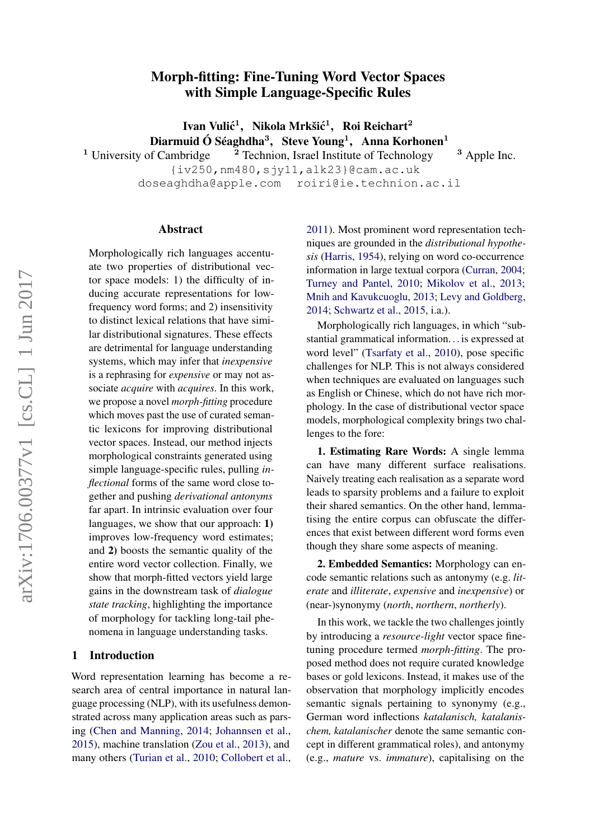## Morph-fitting: Fine-Tuning Word Vector Spaces with Simple Language-Specific Rules

Ivan Vulić<sup>1</sup>, Nikola Mrkšić<sup>1</sup>, Roi Reichart<sup>2</sup>

Diarmuid Ó Séaghdha<sup>3</sup>, Steve Young<sup>1</sup>, Anna Korhonen<sup>1</sup>

<sup>1</sup> University of Cambridge  $\frac{2}$  Technion, Israel Institute of Technology  $\frac{3}$  Apple Inc. {iv250,nm480,sjy11,alk23}@cam.ac.uk

doseaghdha@apple.com roiri@ie.technion.ac.il

#### Abstract

Morphologically rich languages accentuate two properties of distributional vector space models: 1) the difficulty of inducing accurate representations for lowfrequency word forms; and 2) insensitivity to distinct lexical relations that have similar distributional signatures. These effects are detrimental for language understanding systems, which may infer that *inexpensive* is a rephrasing for *expensive* or may not associate *acquire* with *acquires*. In this work, we propose a novel *morph-fitting* procedure which moves past the use of curated semantic lexicons for improving distributional vector spaces. Instead, our method injects morphological constraints generated using simple language-specific rules, pulling *inflectional* forms of the same word close together and pushing *derivational antonyms* far apart. In intrinsic evaluation over four languages, we show that our approach: 1) improves low-frequency word estimates; and 2) boosts the semantic quality of the entire word vector collection. Finally, we show that morph-fitted vectors yield large gains in the downstream task of *dialogue state tracking*, highlighting the importance of morphology for tackling long-tail phenomena in language understanding tasks.

#### 1 Introduction

Word representation learning has become a research area of central importance in natural language processing (NLP), with its usefulness demonstrated across many application areas such as parsing [\(Chen and Manning,](#page-9-0) [2014;](#page-9-0) [Johannsen et al.,](#page-10-0) [2015\)](#page-10-0), machine translation [\(Zou et al.,](#page-12-0) [2013\)](#page-12-0), and many others [\(Turian et al.,](#page-12-1) [2010;](#page-12-1) [Collobert et al.,](#page-9-1)

[2011\)](#page-9-1). Most prominent word representation techniques are grounded in the *distributional hypothesis* [\(Harris,](#page-10-1) [1954\)](#page-10-1), relying on word co-occurrence information in large textual corpora [\(Curran,](#page-9-2) [2004;](#page-9-2) [Turney and Pantel,](#page-12-2) [2010;](#page-12-2) [Mikolov et al.,](#page-11-0) [2013;](#page-11-0) [Mnih and Kavukcuoglu,](#page-11-1) [2013;](#page-11-1) [Levy and Goldberg,](#page-10-2) [2014;](#page-10-2) [Schwartz et al.,](#page-11-2) [2015,](#page-11-2) i.a.).

Morphologically rich languages, in which "substantial grammatical information. . . is expressed at word level" [\(Tsarfaty et al.,](#page-12-3) [2010\)](#page-12-3), pose specific challenges for NLP. This is not always considered when techniques are evaluated on languages such as English or Chinese, which do not have rich morphology. In the case of distributional vector space models, morphological complexity brings two challenges to the fore:

1. Estimating Rare Words: A single lemma can have many different surface realisations. Naively treating each realisation as a separate word leads to sparsity problems and a failure to exploit their shared semantics. On the other hand, lemmatising the entire corpus can obfuscate the differences that exist between different word forms even though they share some aspects of meaning.

2. Embedded Semantics: Morphology can encode semantic relations such as antonymy (e.g. *literate* and *illiterate*, *expensive* and *inexpensive*) or (near-)synonymy (*north*, *northern*, *northerly*).

In this work, we tackle the two challenges jointly by introducing a *resource-light* vector space finetuning procedure termed *morph-fitting*. The proposed method does not require curated knowledge bases or gold lexicons. Instead, it makes use of the observation that morphology implicitly encodes semantic signals pertaining to synonymy (e.g., German word inflections *katalanisch, katalanischem, katalanischer* denote the same semantic concept in different grammatical roles), and antonymy (e.g., *mature* vs. *immature*), capitalising on the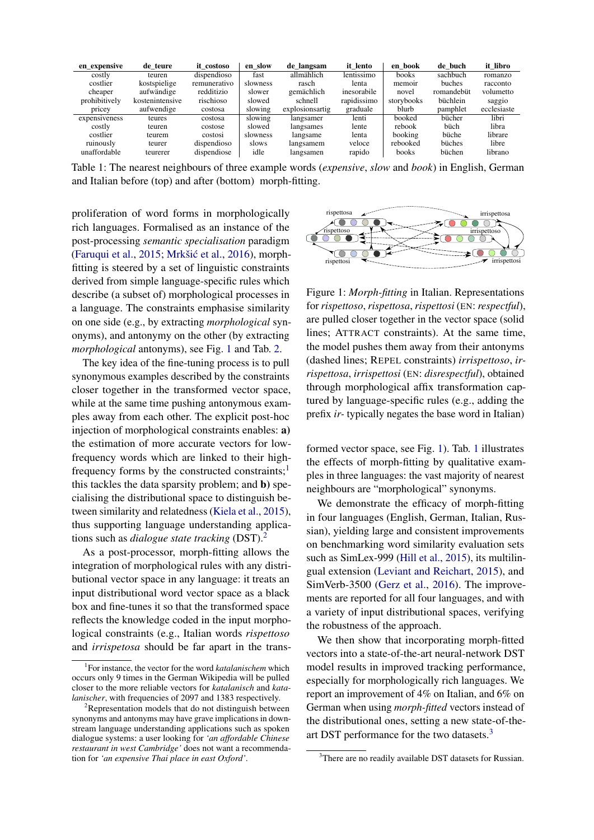<span id="page-1-3"></span>

| en expensive  | de teure        | it costoso   | en slow  | de langsam       | it lento    | en book      | de buch         | it libro    |
|---------------|-----------------|--------------|----------|------------------|-------------|--------------|-----------------|-------------|
| costly        | teuren          | dispendioso  | fast     | allmählich       | lentissimo  | <b>books</b> | sachbuch        | romanzo     |
| costlier      | kostspielige    | remunerativo | slowness | rasch            | lenta       | memoir       | buches          | racconto    |
| cheaper       | aufwändige      | redditizio   | slower   | gemächlich       | inesorabile | novel        | romandebüt      | volumetto   |
| prohibitively | kostenintensive | rischioso    | slowed   | schnell          | rapidissimo | storybooks   | <b>büchlein</b> | saggio      |
| pricey        | aufwendige      | costosa      | slowing  | explosions artig | graduale    | blurb        | pamphlet        | ecclesiaste |
| expensiveness | teures          | costosa      | slowing  | langsamer        | lenti       | booked       | bücher          | libri       |
| costly        | teuren          | costose      | slowed   | langsames        | lente       | rebook       | büch            | libra       |
| costlier      | teurem          | costosi      | slowness | langsame         | lenta       | booking      | büche           | librare     |
| ruinously     | teurer          | dispendioso  | slows    | langsamem        | veloce      | rebooked     | büches          | libre       |
| unaffordable  | teurerer        | dispendiose  | idle     | langsamen        | rapido      | books        | büchen          | librano     |

Table 1: The nearest neighbours of three example words (*expensive*, *slow* and *book*) in English, German and Italian before (top) and after (bottom) morph-fitting.

proliferation of word forms in morphologically rich languages. Formalised as an instance of the post-processing *semantic specialisation* paradigm [\(Faruqui et al.,](#page-10-3) [2015;](#page-10-3) Mrkšić et al., [2016\)](#page-11-3), morphfitting is steered by a set of linguistic constraints derived from simple language-specific rules which describe (a subset of) morphological processes in a language. The constraints emphasise similarity on one side (e.g., by extracting *morphological* synonyms), and antonymy on the other (by extracting *morphological* antonyms), see Fig. [1](#page-1-0) and Tab. [2.](#page-2-0)

The key idea of the fine-tuning process is to pull synonymous examples described by the constraints closer together in the transformed vector space, while at the same time pushing antonymous examples away from each other. The explicit post-hoc injection of morphological constraints enables: a) the estimation of more accurate vectors for lowfrequency words which are linked to their highfrequency forms by the constructed constraints; $<sup>1</sup>$  $<sup>1</sup>$  $<sup>1</sup>$ </sup> this tackles the data sparsity problem; and b) specialising the distributional space to distinguish between similarity and relatedness [\(Kiela et al.,](#page-10-4) [2015\)](#page-10-4), thus supporting language understanding applications such as *dialogue state tracking* (DST).[2](#page-1-2)

As a post-processor, morph-fitting allows the integration of morphological rules with any distributional vector space in any language: it treats an input distributional word vector space as a black box and fine-tunes it so that the transformed space reflects the knowledge coded in the input morphological constraints (e.g., Italian words *rispettoso* and *irrispetosa* should be far apart in the trans-

<span id="page-1-0"></span>

Figure 1: *Morph-fitting* in Italian. Representations for *rispettoso*, *rispettosa*, *rispettosi* (EN: *respectful*), are pulled closer together in the vector space (solid lines; ATTRACT constraints). At the same time, the model pushes them away from their antonyms (dashed lines; REPEL constraints) *irrispettoso*, *irrispettosa*, *irrispettosi* (EN: *disrespectful*), obtained through morphological affix transformation captured by language-specific rules (e.g., adding the prefix *ir-* typically negates the base word in Italian)

formed vector space, see Fig. [1\)](#page-1-0). Tab. [1](#page-1-3) illustrates the effects of morph-fitting by qualitative examples in three languages: the vast majority of nearest neighbours are "morphological" synonyms.

We demonstrate the efficacy of morph-fitting in four languages (English, German, Italian, Russian), yielding large and consistent improvements on benchmarking word similarity evaluation sets such as SimLex-999 [\(Hill et al.,](#page-10-5) [2015\)](#page-10-5), its multilingual extension [\(Leviant and Reichart,](#page-10-6) [2015\)](#page-10-6), and SimVerb-3500 [\(Gerz et al.,](#page-10-7) [2016\)](#page-10-7). The improvements are reported for all four languages, and with a variety of input distributional spaces, verifying the robustness of the approach.

We then show that incorporating morph-fitted vectors into a state-of-the-art neural-network DST model results in improved tracking performance, especially for morphologically rich languages. We report an improvement of 4% on Italian, and 6% on German when using *morph-fitted* vectors instead of the distributional ones, setting a new state-of-the-art DST performance for the two datasets.<sup>[3](#page-1-4)</sup>

<span id="page-1-1"></span><sup>1</sup> For instance, the vector for the word *katalanischem* which occurs only 9 times in the German Wikipedia will be pulled closer to the more reliable vectors for *katalanisch* and *katalanischer*, with frequencies of 2097 and 1383 respectively.

<span id="page-1-2"></span> $2R$ epresentation models that do not distinguish between synonyms and antonyms may have grave implications in downstream language understanding applications such as spoken dialogue systems: a user looking for *'an affordable Chinese restaurant in west Cambridge'* does not want a recommendation for *'an expensive Thai place in east Oxford'*.

<span id="page-1-4"></span><sup>&</sup>lt;sup>3</sup>There are no readily available DST datasets for Russian.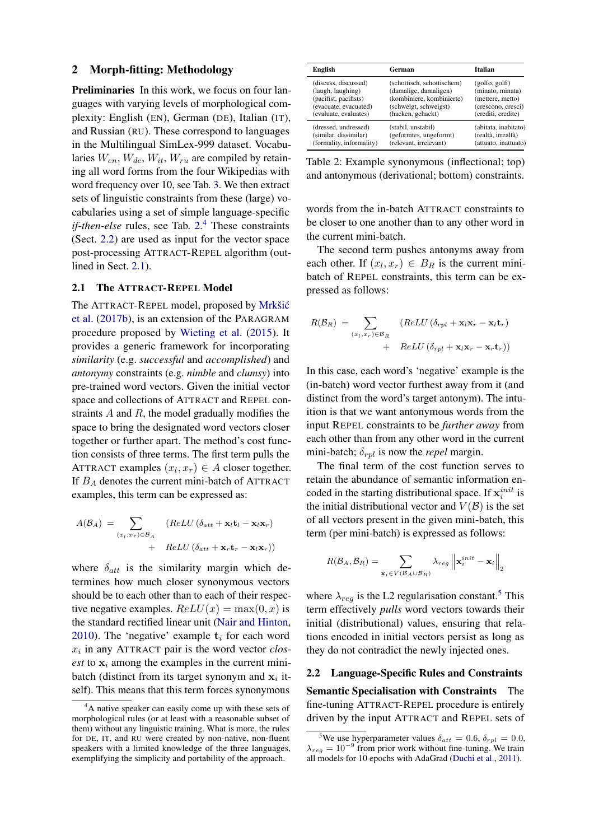#### 2 Morph-fitting: Methodology

Preliminaries In this work, we focus on four languages with varying levels of morphological complexity: English (EN), German (DE), Italian (IT), and Russian (RU). These correspond to languages in the Multilingual SimLex-999 dataset. Vocabularies  $W_{en}$ ,  $W_{de}$ ,  $W_{it}$ ,  $W_{ru}$  are compiled by retaining all word forms from the four Wikipedias with word frequency over 10, see Tab. [3.](#page-3-0) We then extract sets of linguistic constraints from these (large) vocabularies using a set of simple language-specific *if-then-else* rules, see Tab. [2.](#page-2-0) [4](#page-2-1) These constraints (Sect. [2.2\)](#page-2-2) are used as input for the vector space post-processing ATTRACT-REPEL algorithm (outlined in Sect. [2.1\)](#page-2-3).

#### <span id="page-2-3"></span>2.1 The ATTRACT-REPEL Model

The ATTRACT-REPEL model, proposed by [Mrkšic´](#page-11-4) [et al.](#page-11-4) [\(2017b\)](#page-11-4), is an extension of the PARAGRAM procedure proposed by [Wieting et al.](#page-12-4) [\(2015\)](#page-12-4). It provides a generic framework for incorporating *similarity* (e.g. *successful* and *accomplished*) and *antonymy* constraints (e.g. *nimble* and *clumsy*) into pre-trained word vectors. Given the initial vector space and collections of ATTRACT and REPEL constraints  $A$  and  $R$ , the model gradually modifies the space to bring the designated word vectors closer together or further apart. The method's cost function consists of three terms. The first term pulls the ATTRACT examples  $(x_l, x_r) \in A$  closer together. If  $B_A$  denotes the current mini-batch of ATTRACT examples, this term can be expressed as:

$$
A(\mathcal{B}_A) = \sum_{(x_l, x_r) \in \mathcal{B}_A} (ReLU (\delta_{att} + \mathbf{x}_l \mathbf{t}_l - \mathbf{x}_l \mathbf{x}_r) + ReLU (\delta_{att} + \mathbf{x}_r \mathbf{t}_r - \mathbf{x}_l \mathbf{x}_r))
$$

where  $\delta_{att}$  is the similarity margin which determines how much closer synonymous vectors should be to each other than to each of their respective negative examples.  $ReLU(x) = max(0, x)$  is the standard rectified linear unit [\(Nair and Hinton,](#page-11-5) [2010\)](#page-11-5). The 'negative' example  $t_i$  for each word  $x_i$  in any ATTRACT pair is the word vector  $\text{clos}$ *est* to  $x_i$  among the examples in the current minibatch (distinct from its target synonym and  $x_i$  itself). This means that this term forces synonymous

<span id="page-2-0"></span>

| English                  | German                     | Italian              |
|--------------------------|----------------------------|----------------------|
| (discuss, discussed)     | (schottisch, schottischem) | (golfo, golfi)       |
| (laugh, laughing)        | (damalige, damaligen)      | (minato, minata)     |
| (pacifist, pacifists)    | (kombiniere, kombinierte)  | (mettere, metto)     |
| (evacuate, evacuated)    | (schweigt, schweigst)      | (crescono, cresci)   |
| (evaluate, evaluates)    | (hacken, gehackt)          | (crediti, credite)   |
| (dressed, undressed)     | (stabil, unstabil)         | (abitata, inabitato) |
| (similar, dissimilar)    | (geformtes, ungeformt)     | (realtà, irrealtà)   |
| (formality, informality) | (relevant, irrelevant)     | (attuato, inattuato) |

Table 2: Example synonymous (inflectional; top) and antonymous (derivational; bottom) constraints.

words from the in-batch ATTRACT constraints to be closer to one another than to any other word in the current mini-batch.

The second term pushes antonyms away from each other. If  $(x_l, x_r) \in B_R$  is the current minibatch of REPEL constraints, this term can be expressed as follows:

$$
R(\mathcal{B}_R) = \sum_{(x_l, x_r) \in \mathcal{B}_R} (ReLU(\delta_{rpl} + \mathbf{x}_l \mathbf{x}_r - \mathbf{x}_l \mathbf{t}_r)) + ReLU(\delta_{rpl} + \mathbf{x}_l \mathbf{x}_r - \mathbf{x}_r \mathbf{t}_r))
$$

In this case, each word's 'negative' example is the (in-batch) word vector furthest away from it (and distinct from the word's target antonym). The intuition is that we want antonymous words from the input REPEL constraints to be *further away* from each other than from any other word in the current mini-batch;  $\delta_{rpl}$  is now the *repel* margin.

The final term of the cost function serves to retain the abundance of semantic information encoded in the starting distributional space. If  $\mathbf{x}_i^{init}$  is the initial distributional vector and  $V(\mathcal{B})$  is the set of all vectors present in the given mini-batch, this term (per mini-batch) is expressed as follows:

$$
R(\mathcal{B}_A, \mathcal{B}_R) = \sum_{\mathbf{x}_i \in V(\mathcal{B}_A \cup \mathcal{B}_R)} \lambda_{reg} \left\| \mathbf{x}_i^{init} - \mathbf{x}_i \right\|_2
$$

where  $\lambda_{req}$  is the L2 regularisation constant.<sup>[5](#page-2-4)</sup> This term effectively *pulls* word vectors towards their initial (distributional) values, ensuring that relations encoded in initial vectors persist as long as they do not contradict the newly injected ones.

<span id="page-2-2"></span>2.2 Language-Specific Rules and Constraints Semantic Specialisation with Constraints The fine-tuning ATTRACT-REPEL procedure is entirely driven by the input ATTRACT and REPEL sets of

<span id="page-2-1"></span><sup>&</sup>lt;sup>4</sup>A native speaker can easily come up with these sets of morphological rules (or at least with a reasonable subset of them) without any linguistic training. What is more, the rules for DE, IT, and RU were created by non-native, non-fluent speakers with a limited knowledge of the three languages, exemplifying the simplicity and portability of the approach.

<span id="page-2-4"></span><sup>&</sup>lt;sup>5</sup>We use hyperparameter values  $\delta_{att} = 0.6, \delta_{rpl} = 0.0$ ,  $\lambda_{reg} = 10^{-9}$  from prior work without fine-tuning. We train all models for 10 epochs with AdaGrad [\(Duchi et al.,](#page-9-3) [2011\)](#page-9-3).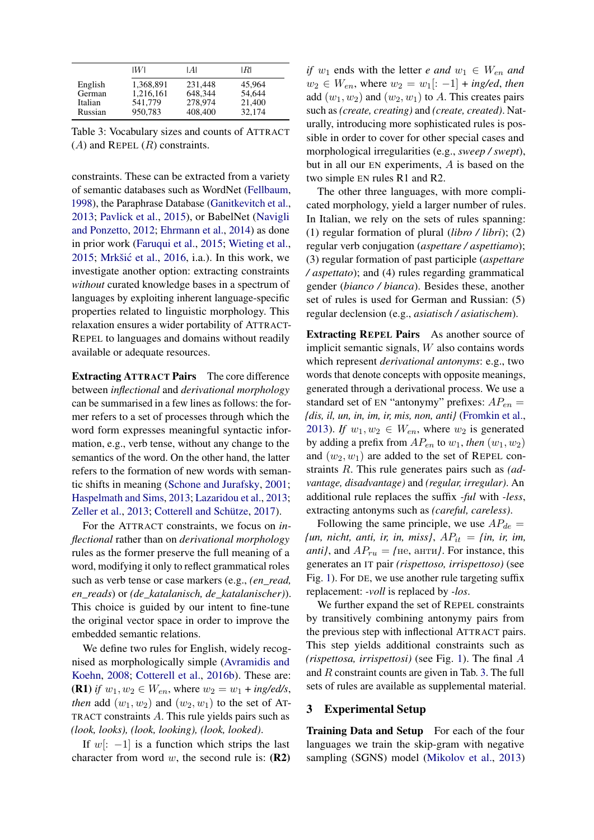<span id="page-3-0"></span>

|         | IWI       | IAI     | IRI    |
|---------|-----------|---------|--------|
| English | 1,368,891 | 231.448 | 45,964 |
| German  | 1,216,161 | 648.344 | 54,644 |
| Italian | 541,779   | 278,974 | 21,400 |
| Russian | 950,783   | 408,400 | 32,174 |

Table 3: Vocabulary sizes and counts of ATTRACT  $(A)$  and REPEL  $(R)$  constraints.

constraints. These can be extracted from a variety of semantic databases such as WordNet [\(Fellbaum,](#page-10-8) [1998\)](#page-10-8), the Paraphrase Database [\(Ganitkevitch et al.,](#page-10-9) [2013;](#page-10-9) [Pavlick et al.,](#page-11-6) [2015\)](#page-11-6), or BabelNet [\(Navigli](#page-11-7) [and Ponzetto,](#page-11-7) [2012;](#page-11-7) [Ehrmann et al.,](#page-9-4) [2014\)](#page-9-4) as done in prior work [\(Faruqui et al.,](#page-10-3) [2015;](#page-10-3) [Wieting et al.,](#page-12-4)  $2015$ ; Mrkšić et al.,  $2016$ , i.a.). In this work, we investigate another option: extracting constraints *without* curated knowledge bases in a spectrum of languages by exploiting inherent language-specific properties related to linguistic morphology. This relaxation ensures a wider portability of ATTRACT-REPEL to languages and domains without readily available or adequate resources.

Extracting ATTRACT Pairs The core difference between *inflectional* and *derivational morphology* can be summarised in a few lines as follows: the former refers to a set of processes through which the word form expresses meaningful syntactic information, e.g., verb tense, without any change to the semantics of the word. On the other hand, the latter refers to the formation of new words with semantic shifts in meaning [\(Schone and Jurafsky,](#page-11-8) [2001;](#page-11-8) [Haspelmath and Sims,](#page-10-10) [2013;](#page-10-10) [Lazaridou et al.,](#page-10-11) [2013;](#page-10-11) [Zeller et al.,](#page-12-5) [2013;](#page-12-5) [Cotterell and Schütze,](#page-9-5) [2017\)](#page-9-5).

For the ATTRACT constraints, we focus on *inflectional* rather than on *derivational morphology* rules as the former preserve the full meaning of a word, modifying it only to reflect grammatical roles such as verb tense or case markers (e.g., *(en\_read, en\_reads*) or *(de\_katalanisch, de\_katalanischer)*). This choice is guided by our intent to fine-tune the original vector space in order to improve the embedded semantic relations.

We define two rules for English, widely recognised as morphologically simple [\(Avramidis and](#page-9-6) [Koehn,](#page-9-6) [2008;](#page-9-6) [Cotterell et al.,](#page-9-7) [2016b\)](#page-9-7). These are: **(R1)** *if*  $w_1, w_2 \in W_{en}$ , where  $w_2 = w_1 + \frac{ing}{ed/s}$ , *then* add  $(w_1, w_2)$  and  $(w_2, w_1)$  to the set of AT-TRACT constraints A. This rule yields pairs such as *(look, looks), (look, looking), (look, looked)*.

If w[:  $-1$ ] is a function which strips the last character from word  $w$ , the second rule is:  $(R2)$  *if* w<sub>1</sub> ends with the letter *e and*  $w_1 \in W_{en}$  *and*  $w_2$  ∈  $W_{en}$ , where  $w_2 = w_1$ [: −1] + *ing/ed*, *then* add  $(w_1, w_2)$  and  $(w_2, w_1)$  to A. This creates pairs such as *(create, creating)* and *(create, created)*. Naturally, introducing more sophisticated rules is possible in order to cover for other special cases and morphological irregularities (e.g., *sweep / swept*), but in all our EN experiments, A is based on the two simple EN rules R1 and R2.

The other three languages, with more complicated morphology, yield a larger number of rules. In Italian, we rely on the sets of rules spanning: (1) regular formation of plural (*libro / libri*); (2) regular verb conjugation (*aspettare / aspettiamo*); (3) regular formation of past participle (*aspettare / aspettato*); and (4) rules regarding grammatical gender (*bianco / bianca*). Besides these, another set of rules is used for German and Russian: (5) regular declension (e.g., *asiatisch / asiatischem*).

Extracting REPEL Pairs As another source of implicit semantic signals, W also contains words which represent *derivational antonyms*: e.g., two words that denote concepts with opposite meanings, generated through a derivational process. We use a standard set of EN "antonymy" prefixes:  $AP_{en}$  = *{dis, il, un, in, im, ir, mis, non, anti}* [\(Fromkin et al.,](#page-10-12) [2013\)](#page-10-12). *If*  $w_1, w_2 \in W_{en}$ , where  $w_2$  is generated by adding a prefix from  $AP_{en}$  to  $w_1$ , *then*  $(w_1, w_2)$ and  $(w_2, w_1)$  are added to the set of REPEL constraints R. This rule generates pairs such as *(advantage, disadvantage)* and *(regular, irregular)*. An additional rule replaces the suffix *-ful* with *-less*, extracting antonyms such as *(careful, careless)*.

Following the same principle, we use  $AP_{de}$  =  ${un, nicht, anti, ir, in, miss}, AP_{it} = {in, ir, im}$ *anti}*, and  $AP_{ru} =$  *{*не, анти*}*. For instance, this generates an IT pair *(rispettoso, irrispettoso)* (see Fig. [1\)](#page-1-0). For DE, we use another rule targeting suffix replacement: *-voll* is replaced by *-los*.

We further expand the set of REPEL constraints by transitively combining antonymy pairs from the previous step with inflectional ATTRACT pairs. This step yields additional constraints such as *(rispettosa, irrispettosi)* (see Fig. [1\)](#page-1-0). The final A and R constraint counts are given in Tab. [3.](#page-3-0) The full sets of rules are available as supplemental material.

#### <span id="page-3-1"></span>3 Experimental Setup

Training Data and Setup For each of the four languages we train the skip-gram with negative sampling (SGNS) model [\(Mikolov et al.,](#page-11-0) [2013\)](#page-11-0)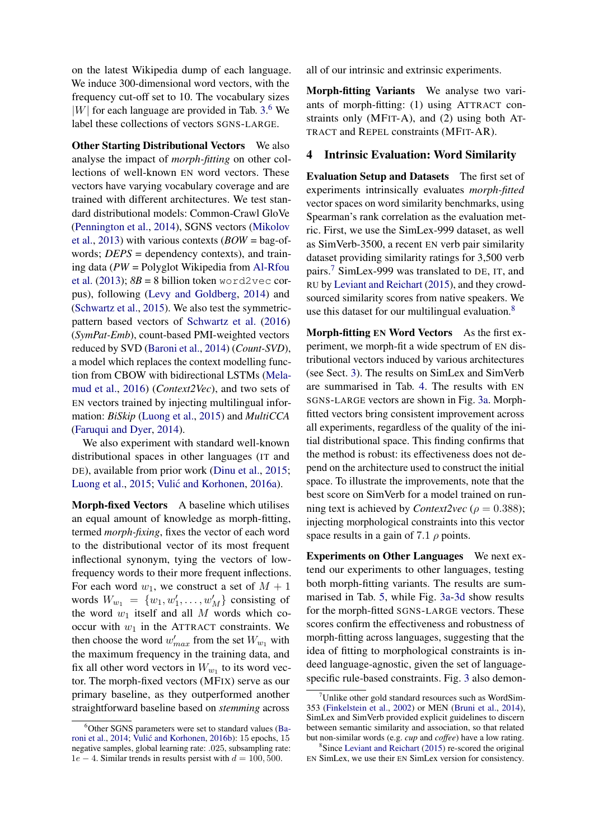on the latest Wikipedia dump of each language. We induce 300-dimensional word vectors, with the frequency cut-off set to 10. The vocabulary sizes  $|W|$  for each language are provided in Tab. [3.](#page-3-0)<sup>[6](#page-4-0)</sup> We label these collections of vectors SGNS-LARGE.

**Other Starting Distributional Vectors** We also analyse the impact of *morph-fitting* on other collections of well-known EN word vectors. These vectors have varying vocabulary coverage and are trained with different architectures. We test standard distributional models: Common-Crawl GloVe [\(Pennington et al.,](#page-11-9) [2014\)](#page-11-9), SGNS vectors [\(Mikolov](#page-11-0) [et al.,](#page-11-0) [2013\)](#page-11-0) with various contexts (*BOW* = bag-ofwords; *DEPS* = dependency contexts), and training data (*PW* = Polyglot Wikipedia from [Al-Rfou](#page-9-8) [et al.](#page-9-8) [\(2013\)](#page-9-8);  $8B = 8$  billion token word2vec corpus), following [\(Levy and Goldberg,](#page-10-2) [2014\)](#page-10-2) and [\(Schwartz et al.,](#page-11-2) [2015\)](#page-11-2). We also test the symmetricpattern based vectors of [Schwartz et al.](#page-11-10) [\(2016\)](#page-11-10) (*SymPat-Emb*), count-based PMI-weighted vectors reduced by SVD [\(Baroni et al.,](#page-9-9) [2014\)](#page-9-9) (*Count-SVD*), a model which replaces the context modelling function from CBOW with bidirectional LSTMs [\(Mela](#page-11-11)[mud et al.,](#page-11-11) [2016\)](#page-11-11) (*Context2Vec*), and two sets of EN vectors trained by injecting multilingual information: *BiSkip* [\(Luong et al.,](#page-11-12) [2015\)](#page-11-12) and *MultiCCA* [\(Faruqui and Dyer,](#page-10-13) [2014\)](#page-10-13).

We also experiment with standard well-known distributional spaces in other languages (IT and DE), available from prior work [\(Dinu et al.,](#page-9-10) [2015;](#page-9-10) [Luong et al.,](#page-11-12) [2015;](#page-11-12) Vulić and Korhonen, [2016a\)](#page-12-6).

Morph-fixed Vectors A baseline which utilises an equal amount of knowledge as morph-fitting, termed *morph-fixing*, fixes the vector of each word to the distributional vector of its most frequent inflectional synonym, tying the vectors of lowfrequency words to their more frequent inflections. For each word  $w_1$ , we construct a set of  $M + 1$ words  $W_{w_1} = \{w_1, w'_1, \dots, w'_M\}$  consisting of the word  $w_1$  itself and all M words which cooccur with  $w_1$  in the ATTRACT constraints. We then choose the word  $w'_{max}$  from the set  $W_{w_1}$  with the maximum frequency in the training data, and fix all other word vectors in  $W_{w_1}$  to its word vector. The morph-fixed vectors (MFIX) serve as our primary baseline, as they outperformed another straightforward baseline based on *stemming* across

all of our intrinsic and extrinsic experiments.

Morph-fitting Variants We analyse two variants of morph-fitting: (1) using ATTRACT constraints only (MFIT-A), and (2) using both AT-TRACT and REPEL constraints (MFIT-AR).

#### 4 Intrinsic Evaluation: Word Similarity

Evaluation Setup and Datasets The first set of experiments intrinsically evaluates *morph-fitted* vector spaces on word similarity benchmarks, using Spearman's rank correlation as the evaluation metric. First, we use the SimLex-999 dataset, as well as SimVerb-3500, a recent EN verb pair similarity dataset providing similarity ratings for 3,500 verb pairs.[7](#page-4-1) SimLex-999 was translated to DE, IT, and RU by [Leviant and Reichart](#page-10-6) [\(2015\)](#page-10-6), and they crowdsourced similarity scores from native speakers. We use this dataset for our multilingual evaluation. $8$ 

Morph-fitting EN Word Vectors As the first experiment, we morph-fit a wide spectrum of EN distributional vectors induced by various architectures (see Sect. [3\)](#page-3-1). The results on SimLex and SimVerb are summarised in Tab. [4.](#page-5-0) The results with EN SGNS-LARGE vectors are shown in Fig. [3a.](#page-7-0) Morphfitted vectors bring consistent improvement across all experiments, regardless of the quality of the initial distributional space. This finding confirms that the method is robust: its effectiveness does not depend on the architecture used to construct the initial space. To illustrate the improvements, note that the best score on SimVerb for a model trained on running text is achieved by *Context2vec* ( $\rho = 0.388$ ); injecting morphological constraints into this vector space results in a gain of 7.1  $\rho$  points.

Experiments on Other Languages We next extend our experiments to other languages, testing both morph-fitting variants. The results are summarised in Tab. [5,](#page-5-1) while Fig. [3a-3d](#page-7-0) show results for the morph-fitted SGNS-LARGE vectors. These scores confirm the effectiveness and robustness of morph-fitting across languages, suggesting that the idea of fitting to morphological constraints is indeed language-agnostic, given the set of languagespecific rule-based constraints. Fig. [3](#page-7-0) also demon-

<span id="page-4-0"></span> $6$ Other SGNS parameters were set to standard values [\(Ba](#page-9-9)[roni et al.,](#page-9-9) [2014;](#page-9-9) Vulić and Korhonen, [2016b\)](#page-12-7): 15 epochs, 15 negative samples, global learning rate: .025, subsampling rate:  $1e - 4$ . Similar trends in results persist with  $d = 100, 500$ .

<span id="page-4-1"></span> $\mu$ <sup>7</sup>Unlike other gold standard resources such as WordSim-353 [\(Finkelstein et al.,](#page-10-14) [2002\)](#page-10-14) or MEN [\(Bruni et al.,](#page-9-11) [2014\)](#page-9-11), SimLex and SimVerb provided explicit guidelines to discern between semantic similarity and association, so that related but non-similar words (e.g. *cup* and *coffee*) have a low rating.

<span id="page-4-2"></span><sup>8</sup> Since [Leviant and Reichart](#page-10-6) [\(2015\)](#page-10-6) re-scored the original EN SimLex, we use their EN SimLex version for consistency.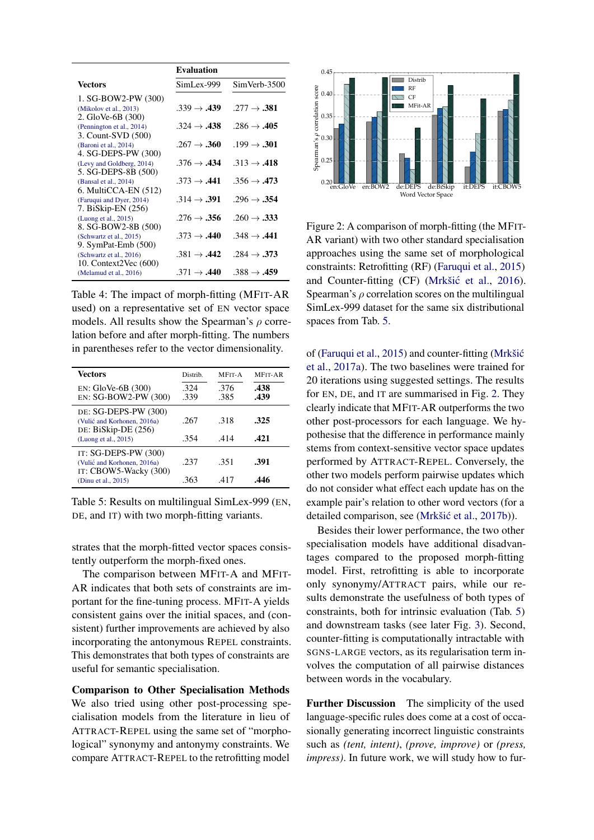<span id="page-5-0"></span>

|                                                   | <b>Evaluation</b>       |                         |
|---------------------------------------------------|-------------------------|-------------------------|
| <b>Vectors</b>                                    | SimLex-999              | SimVerb-3500            |
| 1. SG-BOW2-PW (300)                               |                         |                         |
| (Mikolov et al., 2013)<br>2. GloVe-6B (300)       | $.339 \rightarrow .439$ | $.277 \rightarrow .381$ |
| (Pennington et al., 2014)                         | $.324 \rightarrow .438$ | $.286 \rightarrow .405$ |
| 3. Count-SVD (500)                                |                         |                         |
| (Baroni et al., 2014)<br>4. SG-DEPS-PW (300)      | $.267 \rightarrow .360$ | $.199 \rightarrow .301$ |
| (Levy and Goldberg, 2014)                         | $.376 \rightarrow .434$ | $.313 \rightarrow .418$ |
| 5. SG-DEPS-8B (500)                               |                         |                         |
| (Bansal et al., 2014)<br>$6.$ MultiCCA-EN $(512)$ | $.373 \rightarrow .441$ | $.356 \rightarrow .473$ |
| (Faruqui and Dyer, 2014)                          | $.314 \rightarrow .391$ | $.296 \rightarrow .354$ |
| 7. BiSkip-EN (256)                                | $.276 \rightarrow .356$ |                         |
| (Luong et al., 2015)<br>8. SG-BOW2-8B (500)       |                         | $.260 \rightarrow .333$ |
| (Schwartz et al., 2015)                           | $.373 \rightarrow .440$ | $.348 \rightarrow .441$ |
| 9. SymPat-Emb (500)<br>(Schwartz et al., 2016)    | $.381 \rightarrow .442$ | $.284 \rightarrow .373$ |
| 10. Context2Vec $(600)$                           |                         |                         |
| (Melamud et al., 2016)                            | $.371 \rightarrow .440$ | $.388 \rightarrow .459$ |

Table 4: The impact of morph-fitting (MFIT-AR used) on a representative set of EN vector space models. All results show the Spearman's  $\rho$  correlation before and after morph-fitting. The numbers in parentheses refer to the vector dimensionality.

<span id="page-5-1"></span>

| Vectors                                                                      | Distrib.     | MFIT-A       | <b>MFIT-AR</b> |
|------------------------------------------------------------------------------|--------------|--------------|----------------|
| $EN: GloVe-6B (300)$<br>EN: SG-BOW2-PW (300)                                 | .324<br>.339 | .376<br>.385 | .438<br>.439   |
| DE: SG-DEPS-PW (300)<br>(Vulić and Korhonen, 2016a)<br>DE: BiSkip-DE (256)   | .267         | .318         | .325           |
| (Luong et al., 2015)                                                         | .354         | .414         | .421           |
| IT: SG-DEPS-PW (300)<br>(Vulić and Korhonen, 2016a)<br>IT: CBOW5-Wacky (300) | .237         | -351         | .391           |
| (Dinu et al., 2015)                                                          | .363         | .417         | .446           |

Table 5: Results on multilingual SimLex-999 (EN, DE, and IT) with two morph-fitting variants.

strates that the morph-fitted vector spaces consistently outperform the morph-fixed ones.

The comparison between MFIT-A and MFIT-AR indicates that both sets of constraints are important for the fine-tuning process. MFIT-A yields consistent gains over the initial spaces, and (consistent) further improvements are achieved by also incorporating the antonymous REPEL constraints. This demonstrates that both types of constraints are useful for semantic specialisation.

Comparison to Other Specialisation Methods We also tried using other post-processing specialisation models from the literature in lieu of ATTRACT-REPEL using the same set of "morphological" synonymy and antonymy constraints. We compare ATTRACT-REPEL to the retrofitting model

<span id="page-5-2"></span>

Figure 2: A comparison of morph-fitting (the MFIT-AR variant) with two other standard specialisation approaches using the same set of morphological constraints: Retrofitting (RF) [\(Faruqui et al.,](#page-10-3) [2015\)](#page-10-3) and Counter-fitting (CF) (Mrkšić et al., [2016\)](#page-11-3). Spearman's  $\rho$  correlation scores on the multilingual SimLex-999 dataset for the same six distributional spaces from Tab. [5.](#page-5-1)

of [\(Faruqui et al.,](#page-10-3) [2015\)](#page-10-3) and counter-fitting [\(Mrkšic´](#page-11-13) [et al.,](#page-11-13) [2017a\)](#page-11-13). The two baselines were trained for 20 iterations using suggested settings. The results for EN, DE, and IT are summarised in Fig. [2.](#page-5-2) They clearly indicate that MFIT-AR outperforms the two other post-processors for each language. We hypothesise that the difference in performance mainly stems from context-sensitive vector space updates performed by ATTRACT-REPEL. Conversely, the other two models perform pairwise updates which do not consider what effect each update has on the example pair's relation to other word vectors (for a detailed comparison, see (Mrkšić et al., [2017b\)](#page-11-4)).

Besides their lower performance, the two other specialisation models have additional disadvantages compared to the proposed morph-fitting model. First, retrofitting is able to incorporate only synonymy/ATTRACT pairs, while our results demonstrate the usefulness of both types of constraints, both for intrinsic evaluation (Tab. [5\)](#page-5-1) and downstream tasks (see later Fig. [3\)](#page-7-0). Second, counter-fitting is computationally intractable with SGNS-LARGE vectors, as its regularisation term involves the computation of all pairwise distances between words in the vocabulary.

Further Discussion The simplicity of the used language-specific rules does come at a cost of occasionally generating incorrect linguistic constraints such as *(tent, intent)*, *(prove, improve)* or *(press, impress)*. In future work, we will study how to fur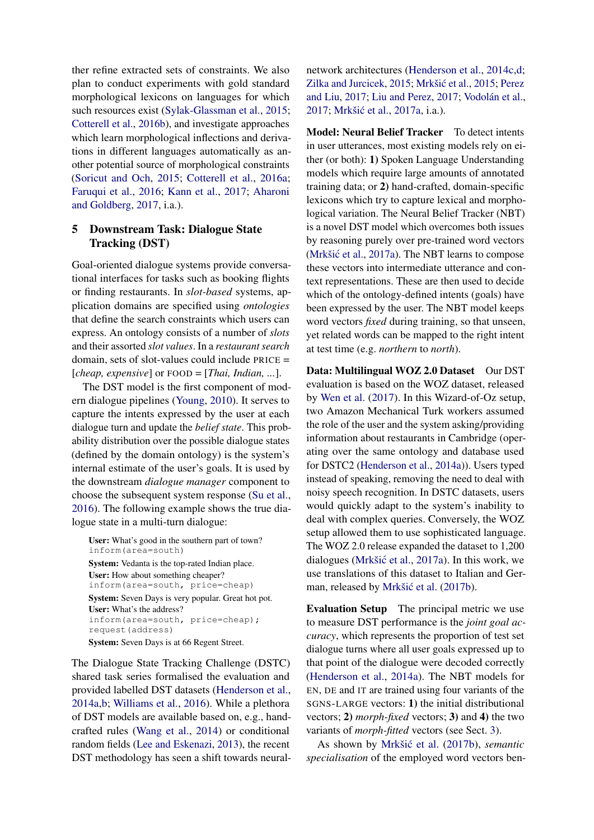ther refine extracted sets of constraints. We also plan to conduct experiments with gold standard morphological lexicons on languages for which such resources exist [\(Sylak-Glassman et al.,](#page-12-8) [2015;](#page-12-8) [Cotterell et al.,](#page-9-7) [2016b\)](#page-9-7), and investigate approaches which learn morphological inflections and derivations in different languages automatically as another potential source of morphological constraints [\(Soricut and Och,](#page-12-9) [2015;](#page-12-9) [Cotterell et al.,](#page-9-13) [2016a;](#page-9-13) [Faruqui et al.,](#page-10-15) [2016;](#page-10-15) [Kann et al.,](#page-10-16) [2017;](#page-10-16) [Aharoni](#page-9-14) [and Goldberg,](#page-9-14) [2017,](#page-9-14) i.a.).

### 5 Downstream Task: Dialogue State Tracking (DST)

Goal-oriented dialogue systems provide conversational interfaces for tasks such as booking flights or finding restaurants. In *slot-based* systems, application domains are specified using *ontologies* that define the search constraints which users can express. An ontology consists of a number of *slots* and their assorted *slot values*. In a *restaurant search* domain, sets of slot-values could include PRICE = [*cheap, expensive*] or FOOD = [*Thai, Indian, ...*].

The DST model is the first component of modern dialogue pipelines [\(Young,](#page-12-10) [2010\)](#page-12-10). It serves to capture the intents expressed by the user at each dialogue turn and update the *belief state*. This probability distribution over the possible dialogue states (defined by the domain ontology) is the system's internal estimate of the user's goals. It is used by the downstream *dialogue manager* component to choose the subsequent system response [\(Su et al.,](#page-12-11) [2016\)](#page-12-12). The following example shows the true dialogue state in a multi-turn dialogue:

User: What's good in the southern part of town? inform(area=south) System: Vedanta is the top-rated Indian place. User: How about something cheaper? inform(area=south, price=cheap) System: Seven Days is very popular. Great hot pot. User: What's the address? inform(area=south, price=cheap); request(address) System: Seven Days is at 66 Regent Street.

The Dialogue State Tracking Challenge (DSTC) shared task series formalised the evaluation and provided labelled DST datasets [\(Henderson et al.,](#page-10-17) [2014a](#page-10-17)[,b;](#page-10-18) [Williams et al.,](#page-12-13) [2016\)](#page-12-13). While a plethora of DST models are available based on, e.g., handcrafted rules [\(Wang et al.,](#page-12-14) [2014\)](#page-12-14) or conditional random fields [\(Lee and Eskenazi,](#page-10-19) [2013\)](#page-10-19), the recent DST methodology has seen a shift towards neural-

network architectures [\(Henderson et al.,](#page-10-20) [2014c,](#page-10-20)[d;](#page-10-21) [Zilka and Jurcicek,](#page-12-15) [2015;](#page-11-14) Mrkšić et al., 2015; [Perez](#page-11-15) [and Liu,](#page-11-15) [2017;](#page-11-15) [Liu and Perez,](#page-11-16) [2017;](#page-11-16) [Vodolán et al.,](#page-12-16) [2017;](#page-12-16) Mrkšić et al., [2017a,](#page-11-13) i.a.).

Model: Neural Belief Tracker To detect intents in user utterances, most existing models rely on either (or both): 1) Spoken Language Understanding models which require large amounts of annotated training data; or 2) hand-crafted, domain-specific lexicons which try to capture lexical and morphological variation. The Neural Belief Tracker (NBT) is a novel DST model which overcomes both issues by reasoning purely over pre-trained word vectors (Mrkšić et al., [2017a\)](#page-11-13). The NBT learns to compose these vectors into intermediate utterance and context representations. These are then used to decide which of the ontology-defined intents (goals) have been expressed by the user. The NBT model keeps word vectors *fixed* during training, so that unseen, yet related words can be mapped to the right intent at test time (e.g. *northern* to *north*).

Data: Multilingual WOZ 2.0 Dataset Our DST evaluation is based on the WOZ dataset, released by [Wen et al.](#page-12-17) [\(2017\)](#page-12-17). In this Wizard-of-Oz setup, two Amazon Mechanical Turk workers assumed the role of the user and the system asking/providing information about restaurants in Cambridge (operating over the same ontology and database used for DSTC2 [\(Henderson et al.,](#page-10-17) [2014a\)](#page-10-17)). Users typed instead of speaking, removing the need to deal with noisy speech recognition. In DSTC datasets, users would quickly adapt to the system's inability to deal with complex queries. Conversely, the WOZ setup allowed them to use sophisticated language. The WOZ 2.0 release expanded the dataset to 1,200 dialogues (Mrkšić et al., [2017a\)](#page-11-13). In this work, we use translations of this dataset to Italian and Ger-man, released by Mrkšić et al. [\(2017b\)](#page-11-4).

Evaluation Setup The principal metric we use to measure DST performance is the *joint goal accuracy*, which represents the proportion of test set dialogue turns where all user goals expressed up to that point of the dialogue were decoded correctly [\(Henderson et al.,](#page-10-17) [2014a\)](#page-10-17). The NBT models for EN, DE and IT are trained using four variants of the SGNS-LARGE vectors: 1) the initial distributional vectors; 2) *morph-fixed* vectors; 3) and 4) the two variants of *morph-fitted* vectors (see Sect. [3\)](#page-3-1).

As shown by Mrkšić et al. [\(2017b\)](#page-11-4), *semantic specialisation* of the employed word vectors ben-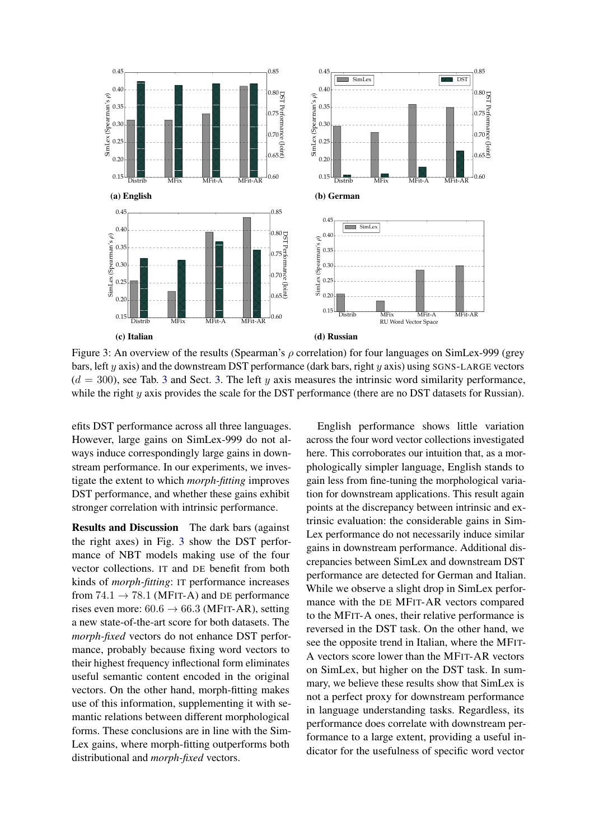<span id="page-7-0"></span>

Figure 3: An overview of the results (Spearman's  $\rho$  correlation) for four languages on SimLex-999 (grey bars, left y axis) and the downstream DST performance (dark bars, right  $y$  axis) using SGNS-LARGE vectors  $(d = 300)$  $(d = 300)$  $(d = 300)$ , see Tab. 3 and Sect. [3.](#page-3-1) The left y axis measures the intrinsic word similarity performance, while the right y axis provides the scale for the DST performance (there are no DST datasets for Russian).

efits DST performance across all three languages. However, large gains on SimLex-999 do not always induce correspondingly large gains in downstream performance. In our experiments, we investigate the extent to which *morph-fitting* improves DST performance, and whether these gains exhibit stronger correlation with intrinsic performance.

Results and Discussion The dark bars (against the right axes) in Fig. [3](#page-7-0) show the DST performance of NBT models making use of the four vector collections. IT and DE benefit from both kinds of *morph-fitting*: IT performance increases from  $74.1 \rightarrow 78.1$  (MFIT-A) and DE performance rises even more:  $60.6 \rightarrow 66.3$  (MFIT-AR), setting a new state-of-the-art score for both datasets. The *morph-fixed* vectors do not enhance DST performance, probably because fixing word vectors to their highest frequency inflectional form eliminates useful semantic content encoded in the original vectors. On the other hand, morph-fitting makes use of this information, supplementing it with semantic relations between different morphological forms. These conclusions are in line with the Sim-Lex gains, where morph-fitting outperforms both distributional and *morph-fixed* vectors.

English performance shows little variation across the four word vector collections investigated here. This corroborates our intuition that, as a morphologically simpler language, English stands to gain less from fine-tuning the morphological variation for downstream applications. This result again points at the discrepancy between intrinsic and extrinsic evaluation: the considerable gains in Sim-Lex performance do not necessarily induce similar gains in downstream performance. Additional discrepancies between SimLex and downstream DST performance are detected for German and Italian. While we observe a slight drop in SimLex performance with the DE MFIT-AR vectors compared to the MFIT-A ones, their relative performance is reversed in the DST task. On the other hand, we see the opposite trend in Italian, where the MFIT-A vectors score lower than the MFIT-AR vectors on SimLex, but higher on the DST task. In summary, we believe these results show that SimLex is not a perfect proxy for downstream performance in language understanding tasks. Regardless, its performance does correlate with downstream performance to a large extent, providing a useful indicator for the usefulness of specific word vector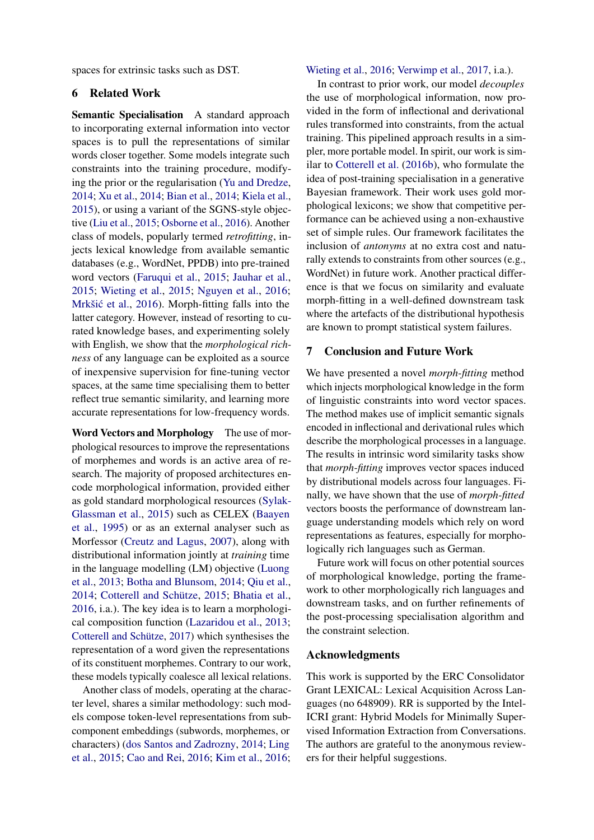spaces for extrinsic tasks such as DST.

#### 6 Related Work

Semantic Specialisation A standard approach to incorporating external information into vector spaces is to pull the representations of similar words closer together. Some models integrate such constraints into the training procedure, modifying the prior or the regularisation [\(Yu and Dredze,](#page-12-18) [2014;](#page-12-18) [Xu et al.,](#page-12-19) [2014;](#page-12-19) [Bian et al.,](#page-9-15) [2014;](#page-9-15) [Kiela et al.,](#page-10-4) [2015\)](#page-10-4), or using a variant of the SGNS-style objective [\(Liu et al.,](#page-11-17) [2015;](#page-11-17) [Osborne et al.,](#page-11-18) [2016\)](#page-11-18). Another class of models, popularly termed *retrofitting*, injects lexical knowledge from available semantic databases (e.g., WordNet, PPDB) into pre-trained word vectors [\(Faruqui et al.,](#page-10-3) [2015;](#page-10-3) [Jauhar et al.,](#page-10-22) [2015;](#page-10-22) [Wieting et al.,](#page-12-4) [2015;](#page-12-4) [Nguyen et al.,](#page-11-19) [2016;](#page-11-19) Mrkšić et al., [2016\)](#page-11-3). Morph-fitting falls into the latter category. However, instead of resorting to curated knowledge bases, and experimenting solely with English, we show that the *morphological richness* of any language can be exploited as a source of inexpensive supervision for fine-tuning vector spaces, at the same time specialising them to better reflect true semantic similarity, and learning more accurate representations for low-frequency words.

Word Vectors and Morphology The use of morphological resources to improve the representations of morphemes and words is an active area of research. The majority of proposed architectures encode morphological information, provided either as gold standard morphological resources [\(Sylak-](#page-12-8)[Glassman et al.,](#page-12-8) [2015\)](#page-12-8) such as CELEX [\(Baayen](#page-9-16) [et al.,](#page-9-16) [1995\)](#page-9-16) or as an external analyser such as Morfessor [\(Creutz and Lagus,](#page-9-17) [2007\)](#page-9-17), along with distributional information jointly at *training* time in the language modelling (LM) objective [\(Luong](#page-11-20) [et al.,](#page-11-20) [2013;](#page-11-20) [Botha and Blunsom,](#page-9-18) [2014;](#page-9-18) [Qiu et al.,](#page-11-21) [2014;](#page-11-21) [Cotterell and Schütze,](#page-9-19) [2015;](#page-9-19) [Bhatia et al.,](#page-9-20) [2016,](#page-9-20) i.a.). The key idea is to learn a morphological composition function [\(Lazaridou et al.,](#page-10-11) [2013;](#page-10-11) [Cotterell and Schütze,](#page-9-5) [2017\)](#page-9-5) which synthesises the representation of a word given the representations of its constituent morphemes. Contrary to our work, these models typically coalesce all lexical relations.

Another class of models, operating at the character level, shares a similar methodology: such models compose token-level representations from subcomponent embeddings (subwords, morphemes, or characters) [\(dos Santos and Zadrozny,](#page-9-21) [2014;](#page-9-21) [Ling](#page-10-23) [et al.,](#page-10-23) [2015;](#page-10-23) [Cao and Rei,](#page-9-22) [2016;](#page-9-22) [Kim et al.,](#page-10-24) [2016;](#page-10-24)

[Wieting et al.,](#page-12-20) [2016;](#page-12-20) [Verwimp et al.,](#page-12-21) [2017,](#page-12-21) i.a.).

In contrast to prior work, our model *decouples* the use of morphological information, now provided in the form of inflectional and derivational rules transformed into constraints, from the actual training. This pipelined approach results in a simpler, more portable model. In spirit, our work is similar to [Cotterell et al.](#page-9-7) [\(2016b\)](#page-9-7), who formulate the idea of post-training specialisation in a generative Bayesian framework. Their work uses gold morphological lexicons; we show that competitive performance can be achieved using a non-exhaustive set of simple rules. Our framework facilitates the inclusion of *antonyms* at no extra cost and naturally extends to constraints from other sources (e.g., WordNet) in future work. Another practical difference is that we focus on similarity and evaluate morph-fitting in a well-defined downstream task where the artefacts of the distributional hypothesis are known to prompt statistical system failures.

#### 7 Conclusion and Future Work

We have presented a novel *morph-fitting* method which injects morphological knowledge in the form of linguistic constraints into word vector spaces. The method makes use of implicit semantic signals encoded in inflectional and derivational rules which describe the morphological processes in a language. The results in intrinsic word similarity tasks show that *morph-fitting* improves vector spaces induced by distributional models across four languages. Finally, we have shown that the use of *morph-fitted* vectors boosts the performance of downstream language understanding models which rely on word representations as features, especially for morphologically rich languages such as German.

Future work will focus on other potential sources of morphological knowledge, porting the framework to other morphologically rich languages and downstream tasks, and on further refinements of the post-processing specialisation algorithm and the constraint selection.

#### Acknowledgments

This work is supported by the ERC Consolidator Grant LEXICAL: Lexical Acquisition Across Languages (no 648909). RR is supported by the Intel-ICRI grant: Hybrid Models for Minimally Supervised Information Extraction from Conversations. The authors are grateful to the anonymous reviewers for their helpful suggestions.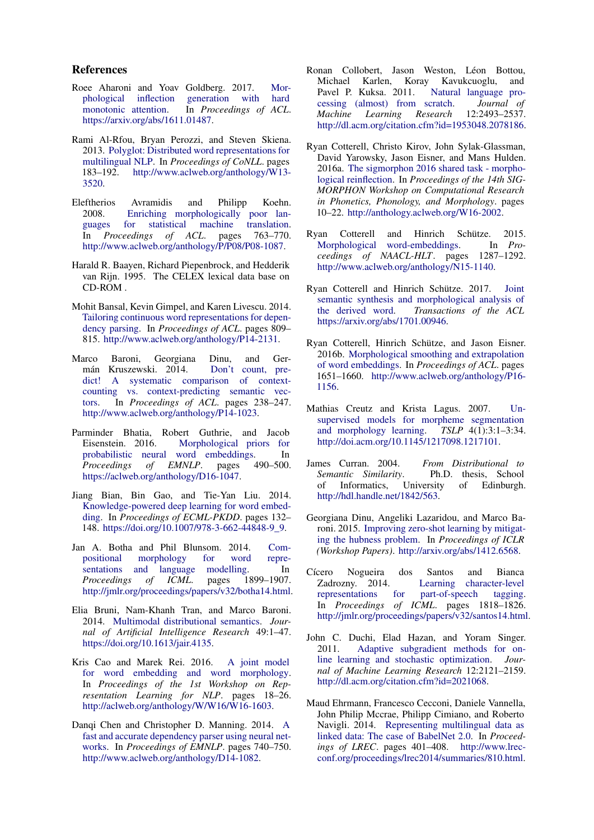#### References

- <span id="page-9-14"></span>Roee Aharoni and Yoav Goldberg. 2017. [Mor](https://arxiv.org/abs/1611.01487)[phological inflection generation with hard](https://arxiv.org/abs/1611.01487)<br>monotonic attention. In Proceedings of ACL. In *Proceedings of ACL*. [https://arxiv.org/abs/1611.01487.](https://arxiv.org/abs/1611.01487)
- <span id="page-9-8"></span>Rami Al-Rfou, Bryan Perozzi, and Steven Skiena. 2013. [Polyglot: Distributed word representations for](http://www.aclweb.org/anthology/W13-3520) [multilingual NLP.](http://www.aclweb.org/anthology/W13-3520) In *Proceedings of CoNLL*. pages 183–192. [http://www.aclweb.org/anthology/W13-](http://www.aclweb.org/anthology/W13-3520) [3520.](http://www.aclweb.org/anthology/W13-3520)
- <span id="page-9-6"></span>Eleftherios Avramidis and Philipp Koehn. 2008. Enriching morphologically poor languages for statistical machine translation. [guages for statistical machine translation.](http://www.aclweb.org/anthology/P/P08/P08-1087) In *Proceedings of ACL*. pages 763–770. [http://www.aclweb.org/anthology/P/P08/P08-1087.](http://www.aclweb.org/anthology/P/P08/P08-1087)
- <span id="page-9-16"></span>Harald R. Baayen, Richard Piepenbrock, and Hedderik van Rijn. 1995. The CELEX lexical data base on CD-ROM .
- <span id="page-9-12"></span>Mohit Bansal, Kevin Gimpel, and Karen Livescu. 2014. [Tailoring continuous word representations for depen](http://www.aclweb.org/anthology/P14-2131)[dency parsing.](http://www.aclweb.org/anthology/P14-2131) In *Proceedings of ACL*. pages 809– 815. [http://www.aclweb.org/anthology/P14-2131.](http://www.aclweb.org/anthology/P14-2131)
- <span id="page-9-9"></span>Marco Baroni, Georgiana Dinu, and Germán Kruszewski. 2014. [Don't count, pre](http://www.aclweb.org/anthology/P14-1023)[dict! A systematic comparison of context](http://www.aclweb.org/anthology/P14-1023)[counting vs. context-predicting semantic vec](http://www.aclweb.org/anthology/P14-1023)[tors.](http://www.aclweb.org/anthology/P14-1023) In *Proceedings of ACL*. pages 238–247. [http://www.aclweb.org/anthology/P14-1023.](http://www.aclweb.org/anthology/P14-1023)
- <span id="page-9-20"></span>Parminder Bhatia, Robert Guthrie, and Jacob Eisenstein. 2016. [Morphological priors for](https://aclweb.org/anthology/D16-1047) [probabilistic neural word embeddings.](https://aclweb.org/anthology/D16-1047) In<br>Proceedings of EMNLP. pages 490-500. *Proceedings of EMNLP*. pages 490–500. [https://aclweb.org/anthology/D16-1047.](https://aclweb.org/anthology/D16-1047)
- <span id="page-9-15"></span>Jiang Bian, Bin Gao, and Tie-Yan Liu. 2014. [Knowledge-powered deep learning for word embed](https://doi.org/10.1007/978-3-662-44848-9_9)[ding.](https://doi.org/10.1007/978-3-662-44848-9_9) In *Proceedings of ECML-PKDD*. pages 132– 148. [https://doi.org/10.1007/978-3-662-44848-9\\_9.](https://doi.org/10.1007/978-3-662-44848-9_9)
- <span id="page-9-18"></span>Jan A. Botha and Phil Blunsom. 2014. [Com](http://jmlr.org/proceedings/papers/v32/botha14.html)[positional morphology for word repre](http://jmlr.org/proceedings/papers/v32/botha14.html)[sentations and language modelling.](http://jmlr.org/proceedings/papers/v32/botha14.html) In<br>*Proceedings of ICML*, pages 1899–1907. *Proceedings of ICML*. pages [http://jmlr.org/proceedings/papers/v32/botha14.html.](http://jmlr.org/proceedings/papers/v32/botha14.html)
- <span id="page-9-11"></span>Elia Bruni, Nam-Khanh Tran, and Marco Baroni. 2014. [Multimodal distributional semantics.](https://doi.org/10.1613/jair.4135) *Journal of Artificial Intelligence Research* 49:1–47. [https://doi.org/10.1613/jair.4135.](https://doi.org/10.1613/jair.4135)
- <span id="page-9-22"></span>Kris Cao and Marek Rei. 2016. [A joint model](http://aclweb.org/anthology/W/W16/W16-1603) [for word embedding and word morphology.](http://aclweb.org/anthology/W/W16/W16-1603) In *Proceedings of the 1st Workshop on Representation Learning for NLP*. pages 18–26. [http://aclweb.org/anthology/W/W16/W16-1603.](http://aclweb.org/anthology/W/W16/W16-1603)
- <span id="page-9-0"></span>Danqi Chen and Christopher D. Manning. 2014. [A](http://www.aclweb.org/anthology/D14-1082) [fast and accurate dependency parser using neural net](http://www.aclweb.org/anthology/D14-1082)[works.](http://www.aclweb.org/anthology/D14-1082) In *Proceedings of EMNLP*. pages 740–750. [http://www.aclweb.org/anthology/D14-1082.](http://www.aclweb.org/anthology/D14-1082)
- <span id="page-9-1"></span>Ronan Collobert, Jason Weston, Léon Bottou, Michael Karlen, Koray Kavukcuoglu, and Pavel P. Kuksa. 2011. [Natural language pro](http://dl.acm.org/citation.cfm?id=1953048.2078186)[cessing \(almost\) from scratch.](http://dl.acm.org/citation.cfm?id=1953048.2078186) *Journal of Machine Learning Research* 12:2493–2537. [http://dl.acm.org/citation.cfm?id=1953048.2078186.](http://dl.acm.org/citation.cfm?id=1953048.2078186)
- <span id="page-9-13"></span>Ryan Cotterell, Christo Kirov, John Sylak-Glassman, David Yarowsky, Jason Eisner, and Mans Hulden. 2016a. [The sigmorphon 2016 shared task - morpho](http://anthology.aclweb.org/W16-2002)[logical reinflection.](http://anthology.aclweb.org/W16-2002) In *Proceedings of the 14th SIG-MORPHON Workshop on Computational Research in Phonetics, Phonology, and Morphology*. pages 10–22. [http://anthology.aclweb.org/W16-2002.](http://anthology.aclweb.org/W16-2002)
- <span id="page-9-19"></span>Ryan Cotterell and Hinrich Schütze. 2015. [Morphological word-embeddings.](http://www.aclweb.org/anthology/N15-1140) *ceedings of NAACL-HLT*. pages 1287–1292. [http://www.aclweb.org/anthology/N15-1140.](http://www.aclweb.org/anthology/N15-1140)
- <span id="page-9-5"></span>Ryan Cotterell and Hinrich Schütze. 2017. [Joint](https://arxiv.org/abs/1701.00946) [semantic synthesis and morphological analysis of](https://arxiv.org/abs/1701.00946) [the derived word.](https://arxiv.org/abs/1701.00946) *Transactions of the ACL* [https://arxiv.org/abs/1701.00946.](https://arxiv.org/abs/1701.00946)
- <span id="page-9-7"></span>Ryan Cotterell, Hinrich Schütze, and Jason Eisner. 2016b. [Morphological smoothing and extrapolation](http://www.aclweb.org/anthology/P16-1156) [of word embeddings.](http://www.aclweb.org/anthology/P16-1156) In *Proceedings of ACL*. pages 1651–1660. [http://www.aclweb.org/anthology/P16-](http://www.aclweb.org/anthology/P16-1156) [1156.](http://www.aclweb.org/anthology/P16-1156)
- <span id="page-9-17"></span>Mathias Creutz and Krista Lagus. 2007. [Un](http://doi.acm.org/10.1145/1217098.1217101)[supervised models for morpheme segmentation](http://doi.acm.org/10.1145/1217098.1217101) [and morphology learning.](http://doi.acm.org/10.1145/1217098.1217101) *TSLP* 4(1):3:1–3:34. [http://doi.acm.org/10.1145/1217098.1217101.](http://doi.acm.org/10.1145/1217098.1217101)
- <span id="page-9-2"></span>James Curran. 2004. *From Distributional to Semantic Similarity*. Ph.D. thesis, School of Informatics, University of Edinburgh. [http://hdl.handle.net/1842/563.](http://hdl.handle.net/1842/563)
- <span id="page-9-10"></span>Georgiana Dinu, Angeliki Lazaridou, and Marco Baroni. 2015. [Improving zero-shot learning by mitigat](http://arxiv.org/abs/1412.6568)[ing the hubness problem.](http://arxiv.org/abs/1412.6568) In *Proceedings of ICLR (Workshop Papers)*. [http://arxiv.org/abs/1412.6568.](http://arxiv.org/abs/1412.6568)
- <span id="page-9-21"></span>Cícero Nogueira dos Santos and Bianca Zadrozny. 2014. [Learning character-level](http://jmlr.org/proceedings/papers/v32/santos14.html) [representations for part-of-speech tagging.](http://jmlr.org/proceedings/papers/v32/santos14.html) In *Proceedings of ICML*. pages 1818–1826. [http://jmlr.org/proceedings/papers/v32/santos14.html.](http://jmlr.org/proceedings/papers/v32/santos14.html)
- <span id="page-9-3"></span>John C. Duchi, Elad Hazan, and Yoram Singer. 2011. [Adaptive subgradient methods for on](http://dl.acm.org/citation.cfm?id=2021068)[line learning and stochastic optimization.](http://dl.acm.org/citation.cfm?id=2021068) *Journal of Machine Learning Research* 12:2121–2159. [http://dl.acm.org/citation.cfm?id=2021068.](http://dl.acm.org/citation.cfm?id=2021068)
- <span id="page-9-4"></span>Maud Ehrmann, Francesco Cecconi, Daniele Vannella, John Philip Mccrae, Philipp Cimiano, and Roberto Navigli. 2014. [Representing multilingual data as](http://www.lrec-conf.org/proceedings/lrec2014/summaries/810.html) [linked data: The case of BabelNet 2.0.](http://www.lrec-conf.org/proceedings/lrec2014/summaries/810.html) In *Proceedings of LREC*. pages 401–408. [http://www.lrec](http://www.lrec-conf.org/proceedings/lrec2014/summaries/810.html)[conf.org/proceedings/lrec2014/summaries/810.html.](http://www.lrec-conf.org/proceedings/lrec2014/summaries/810.html)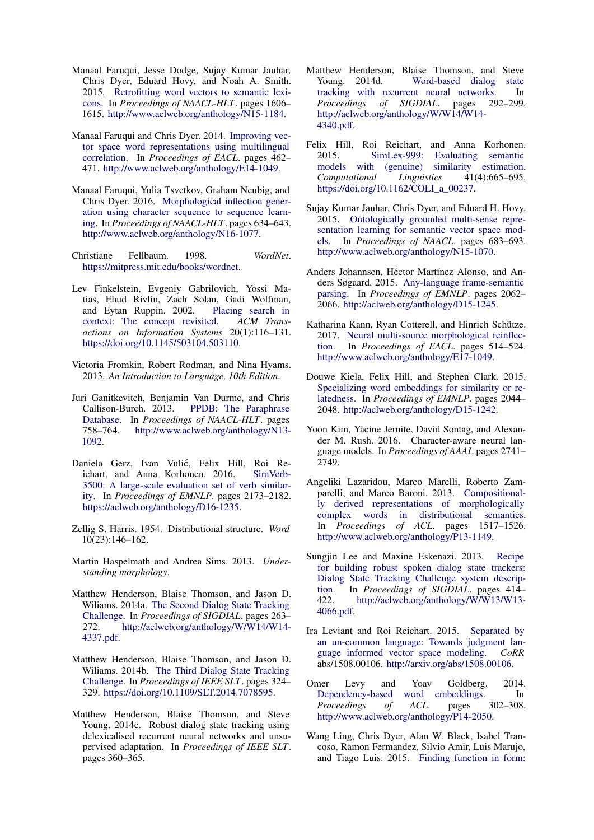- <span id="page-10-3"></span>Manaal Faruqui, Jesse Dodge, Sujay Kumar Jauhar, Chris Dyer, Eduard Hovy, and Noah A. Smith. 2015. [Retrofitting word vectors to semantic lexi](http://www.aclweb.org/anthology/N15-1184)[cons.](http://www.aclweb.org/anthology/N15-1184) In *Proceedings of NAACL-HLT*. pages 1606– 1615. [http://www.aclweb.org/anthology/N15-1184.](http://www.aclweb.org/anthology/N15-1184)
- <span id="page-10-13"></span>Manaal Faruqui and Chris Dyer. 2014. [Improving vec](http://www.aclweb.org/anthology/E14-1049)[tor space word representations using multilingual](http://www.aclweb.org/anthology/E14-1049) [correlation.](http://www.aclweb.org/anthology/E14-1049) In *Proceedings of EACL*. pages 462– 471. [http://www.aclweb.org/anthology/E14-1049.](http://www.aclweb.org/anthology/E14-1049)
- <span id="page-10-15"></span>Manaal Faruqui, Yulia Tsvetkov, Graham Neubig, and Chris Dyer. 2016. [Morphological inflection gener](http://www.aclweb.org/anthology/N16-1077)[ation using character sequence to sequence learn](http://www.aclweb.org/anthology/N16-1077)[ing.](http://www.aclweb.org/anthology/N16-1077) In *Proceedings of NAACL-HLT*. pages 634–643. [http://www.aclweb.org/anthology/N16-1077.](http://www.aclweb.org/anthology/N16-1077)

<span id="page-10-8"></span>Christiane Fellbaum. 1998. *WordNet*. [https://mitpress.mit.edu/books/wordnet.](https://mitpress.mit.edu/books/wordnet)

- <span id="page-10-14"></span>Lev Finkelstein, Evgeniy Gabrilovich, Yossi Matias, Ehud Rivlin, Zach Solan, Gadi Wolfman, and Eytan Ruppin. 2002. [context: The concept revisited.](https://doi.org/10.1145/503104.503110) *ACM Transactions on Information Systems* 20(1):116–131. [https://doi.org/10.1145/503104.503110.](https://doi.org/10.1145/503104.503110)
- <span id="page-10-12"></span>Victoria Fromkin, Robert Rodman, and Nina Hyams. 2013. *An Introduction to Language, 10th Edition*.
- <span id="page-10-9"></span>Juri Ganitkevitch, Benjamin Van Durme, and Chris Callison-Burch. 2013. [PPDB: The Paraphrase](http://www.aclweb.org/anthology/N13-1092) [Database.](http://www.aclweb.org/anthology/N13-1092) In *Proceedings of NAACL-HLT*. pages 758–764. [http://www.aclweb.org/anthology/N13-](http://www.aclweb.org/anthology/N13-1092) [1092.](http://www.aclweb.org/anthology/N13-1092)
- <span id="page-10-7"></span>Daniela Gerz, Ivan Vulić, Felix Hill, Roi Reichart, and Anna Korhonen. 2016. [SimVerb-](https://aclweb.org/anthology/D16-1235)[3500: A large-scale evaluation set of verb similar](https://aclweb.org/anthology/D16-1235)[ity.](https://aclweb.org/anthology/D16-1235) In *Proceedings of EMNLP*. pages 2173–2182. [https://aclweb.org/anthology/D16-1235.](https://aclweb.org/anthology/D16-1235)
- <span id="page-10-1"></span>Zellig S. Harris. 1954. Distributional structure. *Word* 10(23):146–162.
- <span id="page-10-10"></span>Martin Haspelmath and Andrea Sims. 2013. *Understanding morphology*.
- <span id="page-10-17"></span>Matthew Henderson, Blaise Thomson, and Jason D. Wiliams. 2014a. [The Second Dialog State Tracking](http://aclweb.org/anthology/W/W14/W14-4337.pdf) [Challenge.](http://aclweb.org/anthology/W/W14/W14-4337.pdf) In *Proceedings of SIGDIAL*. pages 263– 272. [http://aclweb.org/anthology/W/W14/W14-](http://aclweb.org/anthology/W/W14/W14-4337.pdf) [4337.pdf.](http://aclweb.org/anthology/W/W14/W14-4337.pdf)
- <span id="page-10-18"></span>Matthew Henderson, Blaise Thomson, and Jason D. Wiliams. 2014b. [The Third Dialog State Tracking](https://doi.org/10.1109/SLT.2014.7078595) [Challenge.](https://doi.org/10.1109/SLT.2014.7078595) In *Proceedings of IEEE SLT*. pages 324– 329. [https://doi.org/10.1109/SLT.2014.7078595.](https://doi.org/10.1109/SLT.2014.7078595)
- <span id="page-10-20"></span>Matthew Henderson, Blaise Thomson, and Steve Young. 2014c. Robust dialog state tracking using delexicalised recurrent neural networks and unsupervised adaptation. In *Proceedings of IEEE SLT*. pages 360–365.
- <span id="page-10-21"></span>Matthew Henderson, Blaise Thomson, and Steve Young. 2014d. [Word-based dialog state](http://aclweb.org/anthology/W/W14/W14-4340.pdf) [tracking with recurrent neural networks.](http://aclweb.org/anthology/W/W14/W14-4340.pdf) In *Proceedings of SIGDIAL*. pages 292–299. [http://aclweb.org/anthology/W/W14/W14-](http://aclweb.org/anthology/W/W14/W14-4340.pdf) [4340.pdf.](http://aclweb.org/anthology/W/W14/W14-4340.pdf)
- <span id="page-10-5"></span>Felix Hill, Roi Reichart, and Anna Korhonen. 2015. [SimLex-999: Evaluating semantic](https://doi.org/10.1162/COLI_a_00237) [models with \(genuine\) similarity estimation.](https://doi.org/10.1162/COLI_a_00237) *Computational Linguistics* 41(4):665–695. [https://doi.org/10.1162/COLI\\_a\\_00237.](https://doi.org/10.1162/COLI_a_00237)
- <span id="page-10-22"></span>Sujay Kumar Jauhar, Chris Dyer, and Eduard H. Hovy. 2015. [Ontologically grounded multi-sense repre](http://www.aclweb.org/anthology/N15-1070)[sentation learning for semantic vector space mod](http://www.aclweb.org/anthology/N15-1070)[els.](http://www.aclweb.org/anthology/N15-1070) In *Proceedings of NAACL*. pages 683–693. [http://www.aclweb.org/anthology/N15-1070.](http://www.aclweb.org/anthology/N15-1070)
- <span id="page-10-0"></span>Anders Johannsen, Héctor Martínez Alonso, and Anders Søgaard. 2015. [Any-language frame-semantic](http://aclweb.org/anthology/D15-1245) [parsing.](http://aclweb.org/anthology/D15-1245) In *Proceedings of EMNLP*. pages 2062– 2066. [http://aclweb.org/anthology/D15-1245.](http://aclweb.org/anthology/D15-1245)
- <span id="page-10-16"></span>Katharina Kann, Ryan Cotterell, and Hinrich Schütze. 2017. [Neural multi-source morphological reinflec](http://www.aclweb.org/anthology/E17-1049)[tion.](http://www.aclweb.org/anthology/E17-1049) In *Proceedings of EACL*. pages 514–524. [http://www.aclweb.org/anthology/E17-1049.](http://www.aclweb.org/anthology/E17-1049)
- <span id="page-10-4"></span>Douwe Kiela, Felix Hill, and Stephen Clark. 2015. [Specializing word embeddings for similarity or re](http://aclweb.org/anthology/D15-1242)[latedness.](http://aclweb.org/anthology/D15-1242) In *Proceedings of EMNLP*. pages 2044– 2048. [http://aclweb.org/anthology/D15-1242.](http://aclweb.org/anthology/D15-1242)
- <span id="page-10-24"></span>Yoon Kim, Yacine Jernite, David Sontag, and Alexander M. Rush. 2016. Character-aware neural language models. In *Proceedings of AAAI*. pages 2741– 2749.
- <span id="page-10-11"></span>Angeliki Lazaridou, Marco Marelli, Roberto Zamparelli, and Marco Baroni. 2013. [Compositional](http://www.aclweb.org/anthology/P13-1149)[ly derived representations of morphologically](http://www.aclweb.org/anthology/P13-1149) [complex words in distributional semantics.](http://www.aclweb.org/anthology/P13-1149) In *Proceedings of ACL*. pages 1517–1526. [http://www.aclweb.org/anthology/P13-1149.](http://www.aclweb.org/anthology/P13-1149)
- <span id="page-10-19"></span>Sungjin Lee and Maxine Eskenazi. 2013. [Recipe](http://aclweb.org/anthology/W/W13/W13-4066.pdf) [for building robust spoken dialog state trackers:](http://aclweb.org/anthology/W/W13/W13-4066.pdf) [Dialog State Tracking Challenge system descrip](http://aclweb.org/anthology/W/W13/W13-4066.pdf)[tion.](http://aclweb.org/anthology/W/W13/W13-4066.pdf) In *Proceedings of SIGDIAL*. pages 414– 422. [http://aclweb.org/anthology/W/W13/W13-](http://aclweb.org/anthology/W/W13/W13-4066.pdf) [4066.pdf.](http://aclweb.org/anthology/W/W13/W13-4066.pdf)
- <span id="page-10-6"></span>Ira Leviant and Roi Reichart. 2015. [Separated by](http://arxiv.org/abs/1508.00106) [an un-common language: Towards judgment lan](http://arxiv.org/abs/1508.00106)[guage informed vector space modeling.](http://arxiv.org/abs/1508.00106) *CoRR* abs/1508.00106. [http://arxiv.org/abs/1508.00106.](http://arxiv.org/abs/1508.00106)
- <span id="page-10-2"></span>Omer Levy and Yoav Goldberg. 2014. [Dependency-based word embeddings.](http://www.aclweb.org/anthology/P14-2050) In *Proceedings of ACL*. pages 302–308. [http://www.aclweb.org/anthology/P14-2050.](http://www.aclweb.org/anthology/P14-2050)
- <span id="page-10-23"></span>Wang Ling, Chris Dyer, Alan W. Black, Isabel Trancoso, Ramon Fermandez, Silvio Amir, Luis Marujo, and Tiago Luis. 2015. [Finding function in form:](http://aclweb.org/anthology/D15-1176)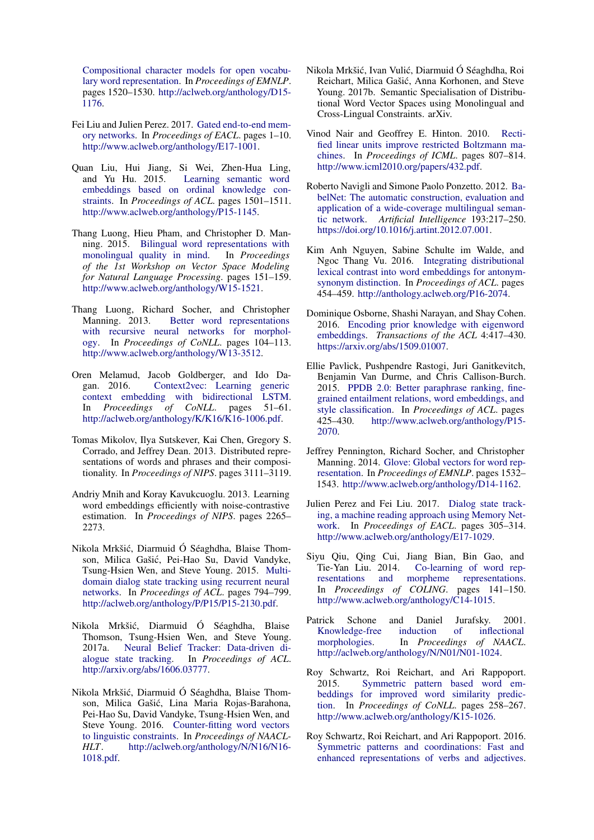[Compositional character models for open vocabu](http://aclweb.org/anthology/D15-1176)[lary word representation.](http://aclweb.org/anthology/D15-1176) In *Proceedings of EMNLP*. pages 1520–1530. [http://aclweb.org/anthology/D15-](http://aclweb.org/anthology/D15-1176) [1176.](http://aclweb.org/anthology/D15-1176)

- <span id="page-11-16"></span>Fei Liu and Julien Perez. 2017. [Gated end-to-end mem](http://www.aclweb.org/anthology/E17-1001)[ory networks.](http://www.aclweb.org/anthology/E17-1001) In *Proceedings of EACL*. pages 1–10. [http://www.aclweb.org/anthology/E17-1001.](http://www.aclweb.org/anthology/E17-1001)
- <span id="page-11-17"></span>Quan Liu, Hui Jiang, Si Wei, Zhen-Hua Ling, [Learning semantic word](http://www.aclweb.org/anthology/P15-1145) [embeddings based on ordinal knowledge con](http://www.aclweb.org/anthology/P15-1145)[straints.](http://www.aclweb.org/anthology/P15-1145) In *Proceedings of ACL*. pages 1501–1511. [http://www.aclweb.org/anthology/P15-1145.](http://www.aclweb.org/anthology/P15-1145)
- <span id="page-11-12"></span>Thang Luong, Hieu Pham, and Christopher D. Manning. 2015. [Bilingual word representations with](http://www.aclweb.org/anthology/W15-1521) [monolingual quality in mind.](http://www.aclweb.org/anthology/W15-1521) In *Proceedings of the 1st Workshop on Vector Space Modeling for Natural Language Processing*. pages 151–159. [http://www.aclweb.org/anthology/W15-1521.](http://www.aclweb.org/anthology/W15-1521)
- <span id="page-11-20"></span>Thang Luong, Richard Socher, and Christopher Manning. 2013. [Better word representations](http://www.aclweb.org/anthology/W13-3512) [with recursive neural networks for morphol](http://www.aclweb.org/anthology/W13-3512)[ogy.](http://www.aclweb.org/anthology/W13-3512) In *Proceedings of CoNLL*. pages 104–113. [http://www.aclweb.org/anthology/W13-3512.](http://www.aclweb.org/anthology/W13-3512)
- <span id="page-11-11"></span>Oren Melamud, Jacob Goldberger, and Ido Dagan. 2016. [Context2vec: Learning generic](http://aclweb.org/anthology/K/K16/K16-1006.pdf) [context embedding with bidirectional LSTM.](http://aclweb.org/anthology/K/K16/K16-1006.pdf) In *Proceedings of CoNLL*. pages 51–61. [http://aclweb.org/anthology/K/K16/K16-1006.pdf.](http://aclweb.org/anthology/K/K16/K16-1006.pdf)
- <span id="page-11-0"></span>Tomas Mikolov, Ilya Sutskever, Kai Chen, Gregory S. Corrado, and Jeffrey Dean. 2013. Distributed representations of words and phrases and their compositionality. In *Proceedings of NIPS*. pages 3111–3119.
- <span id="page-11-1"></span>Andriy Mnih and Koray Kavukcuoglu. 2013. Learning word embeddings efficiently with noise-contrastive estimation. In *Proceedings of NIPS*. pages 2265– 2273.
- <span id="page-11-14"></span>Nikola Mrkšic, Diarmuid Ó Séaghdha, Blaise Thom- ´ son, Milica Gašic, Pei-Hao Su, David Vandyke, ´ Tsung-Hsien Wen, and Steve Young. 2015. [Multi](http://aclweb.org/anthology/P/P15/P15-2130.pdf)[domain dialog state tracking using recurrent neural](http://aclweb.org/anthology/P/P15/P15-2130.pdf) [networks.](http://aclweb.org/anthology/P/P15/P15-2130.pdf) In *Proceedings of ACL*. pages 794–799. [http://aclweb.org/anthology/P/P15/P15-2130.pdf.](http://aclweb.org/anthology/P/P15/P15-2130.pdf)
- <span id="page-11-13"></span>Nikola Mrkšic, Diarmuid Ó Séaghdha, Blaise ´ Thomson, Tsung-Hsien Wen, and Steve Young. 2017a. [Neural Belief Tracker: Data-driven di](http://arxiv.org/abs/1606.03777)[alogue state tracking.](http://arxiv.org/abs/1606.03777) In *Proceedings of ACL*. [http://arxiv.org/abs/1606.03777.](http://arxiv.org/abs/1606.03777)
- <span id="page-11-3"></span>Nikola Mrkšic, Diarmuid Ó Séaghdha, Blaise Thom- ´ son, Milica Gašić, Lina Maria Rojas-Barahona, Pei-Hao Su, David Vandyke, Tsung-Hsien Wen, and Steve Young. 2016. [Counter-fitting word vectors](http://aclweb.org/anthology/N/N16/N16-1018.pdf) [to linguistic constraints.](http://aclweb.org/anthology/N/N16/N16-1018.pdf) In *Proceedings of NAACL-HLT*. [http://aclweb.org/anthology/N/N16/N16-](http://aclweb.org/anthology/N/N16/N16-1018.pdf) [1018.pdf.](http://aclweb.org/anthology/N/N16/N16-1018.pdf)
- <span id="page-11-4"></span>Nikola Mrkšić, Ivan Vulić, Diarmuid Ó Séaghdha, Roi Reichart, Milica Gašic, Anna Korhonen, and Steve ´ Young. 2017b. Semantic Specialisation of Distributional Word Vector Spaces using Monolingual and Cross-Lingual Constraints. arXiv.
- <span id="page-11-5"></span>Vinod Nair and Geoffrey E. Hinton. 2010. [Recti](http://www.icml2010.org/papers/432.pdf)[fied linear units improve restricted Boltzmann ma](http://www.icml2010.org/papers/432.pdf)[chines.](http://www.icml2010.org/papers/432.pdf) In *Proceedings of ICML*. pages 807–814. [http://www.icml2010.org/papers/432.pdf.](http://www.icml2010.org/papers/432.pdf)
- <span id="page-11-7"></span>Roberto Navigli and Simone Paolo Ponzetto. 2012. [Ba](https://doi.org/10.1016/j.artint.2012.07.001)[belNet: The automatic construction, evaluation and](https://doi.org/10.1016/j.artint.2012.07.001) [application of a wide-coverage multilingual seman](https://doi.org/10.1016/j.artint.2012.07.001)[tic network.](https://doi.org/10.1016/j.artint.2012.07.001) *Artificial Intelligence* 193:217–250. [https://doi.org/10.1016/j.artint.2012.07.001.](https://doi.org/10.1016/j.artint.2012.07.001)
- <span id="page-11-19"></span>Kim Anh Nguyen, Sabine Schulte im Walde, and Ngoc Thang Vu. 2016. [Integrating distributional](http://anthology.aclweb.org/P16-2074) [lexical contrast into word embeddings for antonym](http://anthology.aclweb.org/P16-2074)[synonym distinction.](http://anthology.aclweb.org/P16-2074) In *Proceedings of ACL*. pages 454–459. [http://anthology.aclweb.org/P16-2074.](http://anthology.aclweb.org/P16-2074)
- <span id="page-11-18"></span>Dominique Osborne, Shashi Narayan, and Shay Cohen. 2016. [Encoding prior knowledge with eigenword](https://arxiv.org/abs/1509.01007) [embeddings.](https://arxiv.org/abs/1509.01007) *Transactions of the ACL* 4:417–430. [https://arxiv.org/abs/1509.01007.](https://arxiv.org/abs/1509.01007)
- <span id="page-11-6"></span>Ellie Pavlick, Pushpendre Rastogi, Juri Ganitkevitch, Benjamin Van Durme, and Chris Callison-Burch. 2015. [PPDB 2.0: Better paraphrase ranking, fine](http://www.aclweb.org/anthology/P15-2070)[grained entailment relations, word embeddings, and](http://www.aclweb.org/anthology/P15-2070) [style classification.](http://www.aclweb.org/anthology/P15-2070) In *Proceedings of ACL*. pages 425–430. [http://www.aclweb.org/anthology/P15-](http://www.aclweb.org/anthology/P15-2070) [2070.](http://www.aclweb.org/anthology/P15-2070)
- <span id="page-11-9"></span>Jeffrey Pennington, Richard Socher, and Christopher Manning. 2014. [Glove: Global vectors for word rep](http://www.aclweb.org/anthology/D14-1162)[resentation.](http://www.aclweb.org/anthology/D14-1162) In *Proceedings of EMNLP*. pages 1532– 1543. [http://www.aclweb.org/anthology/D14-1162.](http://www.aclweb.org/anthology/D14-1162)
- <span id="page-11-15"></span>Julien Perez and Fei Liu. 2017. [Dialog state track](http://www.aclweb.org/anthology/E17-1029)[ing, a machine reading approach using Memory Net](http://www.aclweb.org/anthology/E17-1029)[work.](http://www.aclweb.org/anthology/E17-1029) In *Proceedings of EACL*. pages 305–314. [http://www.aclweb.org/anthology/E17-1029.](http://www.aclweb.org/anthology/E17-1029)
- <span id="page-11-21"></span>Siyu Qiu, Qing Cui, Jiang Bian, Bin Gao, and Tie-Yan Liu. 2014. [Co-learning of word rep](http://www.aclweb.org/anthology/C14-1015)[resentations and morpheme representations.](http://www.aclweb.org/anthology/C14-1015) In *Proceedings of COLING*. pages 141–150. [http://www.aclweb.org/anthology/C14-1015.](http://www.aclweb.org/anthology/C14-1015)
- <span id="page-11-8"></span>Patrick Schone and Daniel Jurafsky. 2001. [Knowledge-free induction of inflectional](http://aclweb.org/anthology/N/N01/N01-1024) [morphologies.](http://aclweb.org/anthology/N/N01/N01-1024) In *Proceedings of NAACL*. [http://aclweb.org/anthology/N/N01/N01-1024.](http://aclweb.org/anthology/N/N01/N01-1024)
- <span id="page-11-2"></span>Roy Schwartz, Roi Reichart, and Ari Rappoport. 2015. [Symmetric pattern based word em](http://www.aclweb.org/anthology/K15-1026)[beddings for improved word similarity predic](http://www.aclweb.org/anthology/K15-1026)[tion.](http://www.aclweb.org/anthology/K15-1026) In *Proceedings of CoNLL*. pages 258–267. [http://www.aclweb.org/anthology/K15-1026.](http://www.aclweb.org/anthology/K15-1026)
- <span id="page-11-10"></span>Roy Schwartz, Roi Reichart, and Ari Rappoport. 2016. [Symmetric patterns and coordinations: Fast and](http://www.aclweb.org/anthology/N16-1060) [enhanced representations of verbs and adjectives.](http://www.aclweb.org/anthology/N16-1060)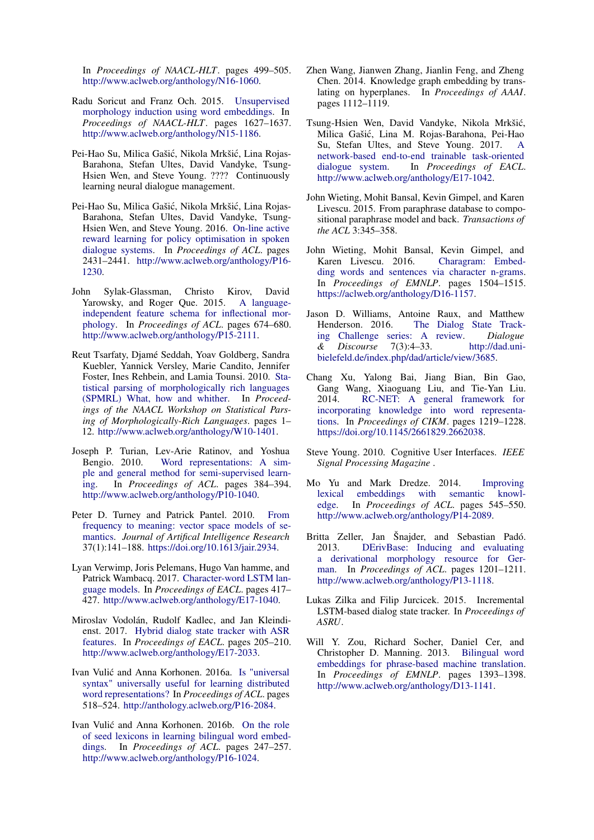In *Proceedings of NAACL-HLT*. pages 499–505. [http://www.aclweb.org/anthology/N16-1060.](http://www.aclweb.org/anthology/N16-1060)

- <span id="page-12-9"></span>Radu Soricut and Franz Och. 2015. [Unsupervised](http://www.aclweb.org/anthology/N15-1186) [morphology induction using word embeddings.](http://www.aclweb.org/anthology/N15-1186) In *Proceedings of NAACL-HLT*. pages 1627–1637. [http://www.aclweb.org/anthology/N15-1186.](http://www.aclweb.org/anthology/N15-1186)
- <span id="page-12-11"></span>Pei-Hao Su, Milica Gašić, Nikola Mrkšić, Lina Rojas-Barahona, Stefan Ultes, David Vandyke, Tsung-Hsien Wen, and Steve Young. ???? Continuously learning neural dialogue management.
- <span id="page-12-12"></span>Pei-Hao Su, Milica Gašić, Nikola Mrkšić, Lina Rojas-Barahona, Stefan Ultes, David Vandyke, Tsung-Hsien Wen, and Steve Young. 2016. [On-line active](http://www.aclweb.org/anthology/P16-1230) [reward learning for policy optimisation in spoken](http://www.aclweb.org/anthology/P16-1230) [dialogue systems.](http://www.aclweb.org/anthology/P16-1230) In *Proceedings of ACL*. pages 2431–2441. [http://www.aclweb.org/anthology/P16-](http://www.aclweb.org/anthology/P16-1230) [1230.](http://www.aclweb.org/anthology/P16-1230)
- <span id="page-12-8"></span>John Sylak-Glassman, Christo Kirov, David Yarowsky, and Roger Que. 2015. [A language](http://www.aclweb.org/anthology/P15-2111)[independent feature schema for inflectional mor](http://www.aclweb.org/anthology/P15-2111)[phology.](http://www.aclweb.org/anthology/P15-2111) In *Proceedings of ACL*. pages 674–680. [http://www.aclweb.org/anthology/P15-2111.](http://www.aclweb.org/anthology/P15-2111)
- <span id="page-12-3"></span>Reut Tsarfaty, Djamé Seddah, Yoav Goldberg, Sandra Kuebler, Yannick Versley, Marie Candito, Jennifer Foster, Ines Rehbein, and Lamia Tounsi. 2010. [Sta](http://www.aclweb.org/anthology/W10-1401)[tistical parsing of morphologically rich languages](http://www.aclweb.org/anthology/W10-1401) [\(SPMRL\) What, how and whither.](http://www.aclweb.org/anthology/W10-1401) In *Proceedings of the NAACL Workshop on Statistical Parsing of Morphologically-Rich Languages*. pages 1– 12. [http://www.aclweb.org/anthology/W10-1401.](http://www.aclweb.org/anthology/W10-1401)
- <span id="page-12-1"></span>Joseph P. Turian, Lev-Arie Ratinov, and Yoshua Bengio. 2010. [Word representations: A sim](http://www.aclweb.org/anthology/P10-1040)[ple and general method for semi-supervised learn](http://www.aclweb.org/anthology/P10-1040)[ing.](http://www.aclweb.org/anthology/P10-1040) In *Proceedings of ACL*. pages 384–394. [http://www.aclweb.org/anthology/P10-1040.](http://www.aclweb.org/anthology/P10-1040)
- <span id="page-12-2"></span>Peter D. Turney and Patrick Pantel. 2010. [From](https://doi.org/10.1613/jair.2934) [frequency to meaning: vector space models of se](https://doi.org/10.1613/jair.2934)[mantics.](https://doi.org/10.1613/jair.2934) *Journal of Artifical Intelligence Research* 37(1):141–188. [https://doi.org/10.1613/jair.2934.](https://doi.org/10.1613/jair.2934)
- <span id="page-12-21"></span>Lyan Verwimp, Joris Pelemans, Hugo Van hamme, and Patrick Wambacq. 2017. [Character-word LSTM lan](http://www.aclweb.org/anthology/E17-1040)[guage models.](http://www.aclweb.org/anthology/E17-1040) In *Proceedings of EACL*. pages 417– 427. [http://www.aclweb.org/anthology/E17-1040.](http://www.aclweb.org/anthology/E17-1040)
- <span id="page-12-16"></span>Miroslav Vodolán, Rudolf Kadlec, and Jan Kleindienst. 2017. [Hybrid dialog state tracker with ASR](http://www.aclweb.org/anthology/E17-2033) [features.](http://www.aclweb.org/anthology/E17-2033) In *Proceedings of EACL*. pages 205–210. [http://www.aclweb.org/anthology/E17-2033.](http://www.aclweb.org/anthology/E17-2033)
- <span id="page-12-6"></span>Ivan Vulić and Anna Korhonen. 2016a. [Is "universal](http://anthology.aclweb.org/P16-2084) [syntax" universally useful for learning distributed](http://anthology.aclweb.org/P16-2084) [word representations?](http://anthology.aclweb.org/P16-2084) In *Proceedings of ACL*. pages 518–524. [http://anthology.aclweb.org/P16-2084.](http://anthology.aclweb.org/P16-2084)
- <span id="page-12-7"></span>Ivan Vulić and Anna Korhonen. 2016b. [On the role](http://www.aclweb.org/anthology/P16-1024) [of seed lexicons in learning bilingual word embed](http://www.aclweb.org/anthology/P16-1024)[dings.](http://www.aclweb.org/anthology/P16-1024) In *Proceedings of ACL*. pages 247–257. [http://www.aclweb.org/anthology/P16-1024.](http://www.aclweb.org/anthology/P16-1024)
- <span id="page-12-14"></span>Zhen Wang, Jianwen Zhang, Jianlin Feng, and Zheng Chen. 2014. Knowledge graph embedding by translating on hyperplanes. In *Proceedings of AAAI*. pages 1112–1119.
- <span id="page-12-17"></span>Tsung-Hsien Wen, David Vandyke, Nikola Mrkšic,´ Milica Gašic, Lina M. Rojas-Barahona, Pei-Hao ´ Su, Stefan Ultes, and Steve Young. 2017. [A](http://www.aclweb.org/anthology/E17-1042) [network-based end-to-end trainable task-oriented](http://www.aclweb.org/anthology/E17-1042) [dialogue system.](http://www.aclweb.org/anthology/E17-1042) In *Proceedings of EACL*. [http://www.aclweb.org/anthology/E17-1042.](http://www.aclweb.org/anthology/E17-1042)
- <span id="page-12-4"></span>John Wieting, Mohit Bansal, Kevin Gimpel, and Karen Livescu. 2015. From paraphrase database to compositional paraphrase model and back. *Transactions of the ACL* 3:345–358.
- <span id="page-12-20"></span>John Wieting, Mohit Bansal, Kevin Gimpel, and Karen Livescu. 2016. [Charagram: Embed](https://aclweb.org/anthology/D16-1157)[ding words and sentences via character n-grams.](https://aclweb.org/anthology/D16-1157) In *Proceedings of EMNLP*. pages 1504–1515. [https://aclweb.org/anthology/D16-1157.](https://aclweb.org/anthology/D16-1157)
- <span id="page-12-13"></span>Jason D. Williams, Antoine Raux, and Matthew Henderson. 2016. [The Dialog State Track](http://dad.uni-bielefeld.de/index.php/dad/article/view/3685)[ing Challenge series: A review.](http://dad.uni-bielefeld.de/index.php/dad/article/view/3685) *Dialogue & Discourse* 7(3):4–33. [http://dad.uni](http://dad.uni-bielefeld.de/index.php/dad/article/view/3685)[bielefeld.de/index.php/dad/article/view/3685.](http://dad.uni-bielefeld.de/index.php/dad/article/view/3685)
- <span id="page-12-19"></span>Chang Xu, Yalong Bai, Jiang Bian, Bin Gao, Gang Wang, Xiaoguang Liu, and Tie-Yan Liu. 2014. [RC-NET: A general framework for](https://doi.org/10.1145/2661829.2662038) [incorporating knowledge into word representa](https://doi.org/10.1145/2661829.2662038)[tions.](https://doi.org/10.1145/2661829.2662038) In *Proceedings of CIKM*. pages 1219–1228. [https://doi.org/10.1145/2661829.2662038.](https://doi.org/10.1145/2661829.2662038)
- <span id="page-12-10"></span>Steve Young. 2010. Cognitive User Interfaces. *IEEE Signal Processing Magazine* .
- <span id="page-12-18"></span>Mo Yu and Mark Dredze. 2014. [Improving](http://www.aclweb.org/anthology/P14-2089) embeddings with semantic knowl[edge.](http://www.aclweb.org/anthology/P14-2089) In *Proceedings of ACL*. pages 545–550. [http://www.aclweb.org/anthology/P14-2089.](http://www.aclweb.org/anthology/P14-2089)
- <span id="page-12-5"></span>Britta Zeller, Jan Šnajder, and Sebastian Padó. 2013. [DErivBase: Inducing and evaluating](http://www.aclweb.org/anthology/P13-1118) [a derivational morphology resource for Ger](http://www.aclweb.org/anthology/P13-1118)[man.](http://www.aclweb.org/anthology/P13-1118) In *Proceedings of ACL*. pages 1201–1211. [http://www.aclweb.org/anthology/P13-1118.](http://www.aclweb.org/anthology/P13-1118)
- <span id="page-12-15"></span>Lukas Zilka and Filip Jurcicek. 2015. Incremental LSTM-based dialog state tracker. In *Proceedings of ASRU*.
- <span id="page-12-0"></span>Will Y. Zou, Richard Socher, Daniel Cer, and Christopher D. Manning. 2013. [Bilingual word](http://www.aclweb.org/anthology/D13-1141) [embeddings for phrase-based machine translation.](http://www.aclweb.org/anthology/D13-1141) In *Proceedings of EMNLP*. pages 1393–1398. [http://www.aclweb.org/anthology/D13-1141.](http://www.aclweb.org/anthology/D13-1141)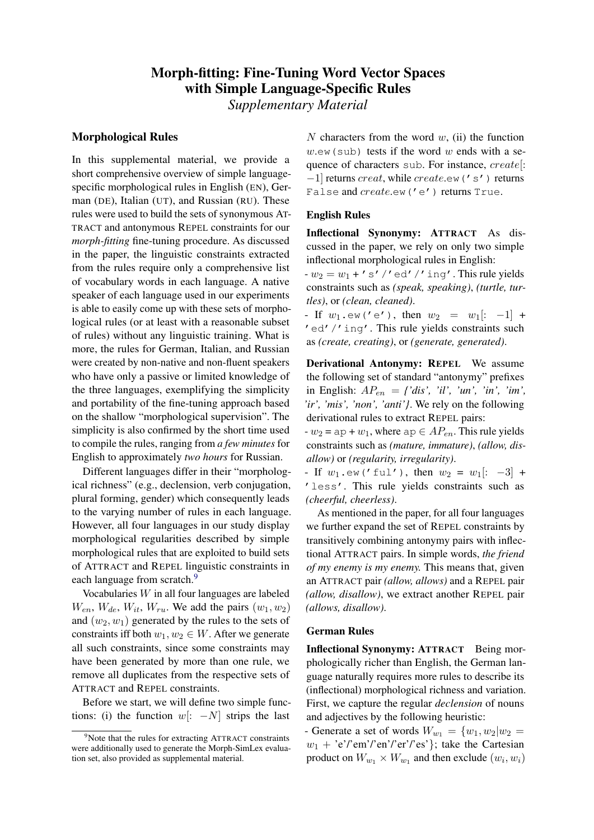# Morph-fitting: Fine-Tuning Word Vector Spaces with Simple Language-Specific Rules

*Supplementary Material*

#### Morphological Rules

In this supplemental material, we provide a short comprehensive overview of simple languagespecific morphological rules in English (EN), German (DE), Italian (UT), and Russian (RU). These rules were used to build the sets of synonymous AT-TRACT and antonymous REPEL constraints for our *morph-fitting* fine-tuning procedure. As discussed in the paper, the linguistic constraints extracted from the rules require only a comprehensive list of vocabulary words in each language. A native speaker of each language used in our experiments is able to easily come up with these sets of morphological rules (or at least with a reasonable subset of rules) without any linguistic training. What is more, the rules for German, Italian, and Russian were created by non-native and non-fluent speakers who have only a passive or limited knowledge of the three languages, exemplifying the simplicity and portability of the fine-tuning approach based on the shallow "morphological supervision". The simplicity is also confirmed by the short time used to compile the rules, ranging from *a few minutes* for English to approximately *two hours* for Russian.

Different languages differ in their "morphological richness" (e.g., declension, verb conjugation, plural forming, gender) which consequently leads to the varying number of rules in each language. However, all four languages in our study display morphological regularities described by simple morphological rules that are exploited to build sets of ATTRACT and REPEL linguistic constraints in each language from scratch.<sup>[9](#page-13-0)</sup>

Vocabularies W in all four languages are labeled  $W_{en}$ ,  $W_{de}$ ,  $W_{it}$ ,  $W_{ru}$ . We add the pairs  $(w_1, w_2)$ and  $(w_2, w_1)$  generated by the rules to the sets of constraints iff both  $w_1, w_2 \in W$ . After we generate all such constraints, since some constraints may have been generated by more than one rule, we remove all duplicates from the respective sets of ATTRACT and REPEL constraints.

Before we start, we will define two simple functions: (i) the function w[:  $-N$ ] strips the last

N characters from the word  $w$ , (ii) the function  $w$ .ew(sub) tests if the word w ends with a sequence of characters sub. For instance, create[:  $-1$ ] returns *creat*, while *create*.ew('s') returns False and create.ew('e') returns True.

#### English Rules

Inflectional Synonymy: ATTRACT As discussed in the paper, we rely on only two simple inflectional morphological rules in English:

 $-w_2 = w_1 + 's'$  /'ed'/'ing'. This rule yields constraints such as *(speak, speaking)*, *(turtle, turtles)*, or *(clean, cleaned)*.

- If  $w_1 \cdot \text{ew}(e')$ , then  $w_2 = w_1[: -1] +$ 'ed'/'ing'. This rule yields constraints such as *(create, creating)*, or *(generate, generated)*.

Derivational Antonymy: REPEL We assume the following set of standard "antonymy" prefixes in English:  $AP_{en} = \langle 'dis', 'il', 'un', 'in', 'im', \rangle$ *'ir', 'mis', 'non', 'anti'}*. We rely on the following derivational rules to extract REPEL pairs:

 $-w_2 =$  ap +  $w_1$ , where ap  $\in AP_{en}$ . This rule yields constraints such as *(mature, immature)*, *(allow, disallow)* or *(regularity, irregularity)*.

- If  $w_1$ .ew('ful'), then  $w_2 = w_1$ : -3 + 'less'. This rule yields constraints such as *(cheerful, cheerless)*.

As mentioned in the paper, for all four languages we further expand the set of REPEL constraints by transitively combining antonymy pairs with inflectional ATTRACT pairs. In simple words, *the friend of my enemy is my enemy.* This means that, given an ATTRACT pair *(allow, allows)* and a REPEL pair *(allow, disallow)*, we extract another REPEL pair *(allows, disallow)*.

#### German Rules

Inflectional Synonymy: ATTRACT Being morphologically richer than English, the German language naturally requires more rules to describe its (inflectional) morphological richness and variation. First, we capture the regular *declension* of nouns and adjectives by the following heuristic:

- Generate a set of words  $W_{w_1} = \{w_1, w_2 | w_2 =$  $w_1$  + 'e'/'em'/'en'/'er'/'es'}; take the Cartesian product on  $W_{w_1} \times W_{w_1}$  and then exclude  $(w_i, w_i)$ 

<span id="page-13-0"></span> $9^9$ Note that the rules for extracting ATTRACT constraints were additionally used to generate the Morph-SimLex evaluation set, also provided as supplemental material.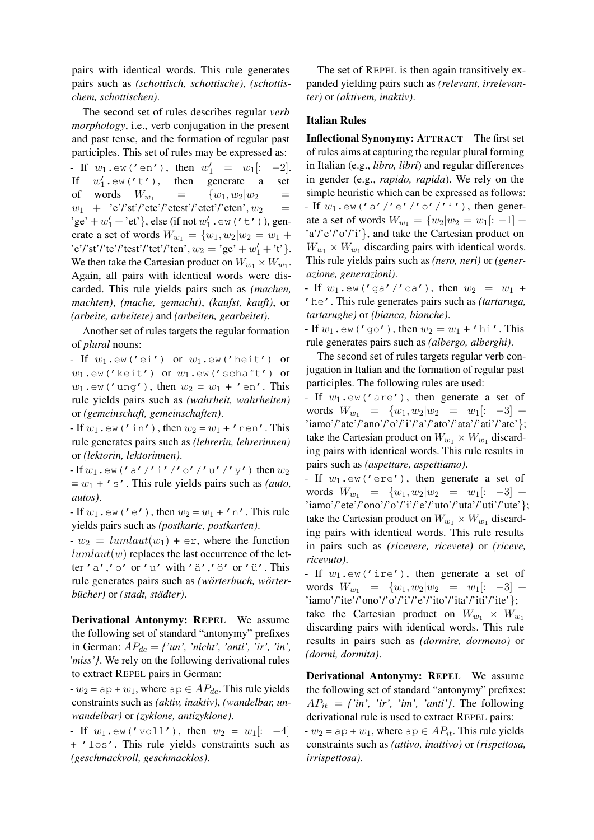pairs with identical words. This rule generates pairs such as *(schottisch, schottische)*, *(schottischem, schottischen)*.

The second set of rules describes regular *verb morphology*, i.e., verb conjugation in the present and past tense, and the formation of regular past participles. This set of rules may be expressed as: - If  $w_1 \cdot \text{ew}('en'), \text{ then } w'_1 = w_1[: -2].$ If  $w'_1 \cdot \text{ew}(t't')$ , then generate a set of words  $W_{w_1} = \{w_1, w_2 | w_2 =$  $w_1$  + 'e'/'st'/'ete'/'etest'/'etet'/'eten',  $w_2$  = 'ge' +  $w'_1$  + 'et' }, else (if not  $w'_1$  . ew ('t')), generate a set of words  $W_{w_1} = \{w_1, w_2 | w_2 = w_1 +$ 'e'/'st'/'te'/'test'/'tet'/'ten',  $w_2 = 'ge' + w'_1 + 't'$  }. We then take the Cartesian product on  $W_{w_1} \times W_{w_1}$ . Again, all pairs with identical words were discarded. This rule yields pairs such as *(machen, machten)*, *(mache, gemacht)*, *(kaufst, kauft)*, or *(arbeite, arbeitete)* and *(arbeiten, gearbeitet)*.

Another set of rules targets the regular formation of *plural* nouns:

- If  $w_1$ .ew('ei') or  $w_1$ .ew('heit') or  $w_1$ .ew('keit') or  $w_1$ .ew('schaft') or  $w_1$ .ew('ung'), then  $w_2 = w_1 + '$ en'. This rule yields pairs such as *(wahrheit, wahrheiten)* or *(gemeinschaft, gemeinschaften)*.

- If  $w_1$ .ew('in'), then  $w_2 = w_1 + '$  nen'. This rule generates pairs such as *(lehrerin, lehrerinnen)* or *(lektorin, lektorinnen)*.

- If  $w_1$ .ew('a'/'i'/'o'/'u'/'y') then  $w_2$  $= w_1 + 's'$ . This rule yields pairs such as *(auto, autos)*.

- If  $w_1$ ,  $ew('e')$ , then  $w_2 = w_1 + 'n'$ . This rule yields pairs such as *(postkarte, postkarten)*.

 $-w_2 = lumlaut(w_1) + \epsilon r$ , where the function  $lumlaut(w)$  replaces the last occurrence of the letter 'a','o' or 'u' with 'ä','ö' or 'ü'. This rule generates pairs such as *(wörterbuch, wörterbücher)* or *(stadt, städter)*.

Derivational Antonymy: REPEL We assume the following set of standard "antonymy" prefixes in German:  $AP_{de} = \{ 'un', 'nicht', 'anti', 'ir', 'in',''} \}$ *'miss'}*. We rely on the following derivational rules to extract REPEL pairs in German:

 $-w_2 =$  ap +  $w_1$ , where ap  $\in AP_{de}$ . This rule yields constraints such as *(aktiv, inaktiv)*, *(wandelbar, unwandelbar)* or *(zyklone, antizyklone)*.

- If  $w_1$ .ew('voll'), then  $w_2 = w_1$ [: -4] + 'los'. This rule yields constraints such as *(geschmackvoll, geschmacklos)*.

The set of REPEL is then again transitively expanded yielding pairs such as *(relevant, irrelevanter)* or *(aktivem, inaktiv)*.

#### Italian Rules

Inflectional Synonymy: ATTRACT The first set of rules aims at capturing the regular plural forming in Italian (e.g., *libro, libri*) and regular differences in gender (e.g., *rapido, rapida*). We rely on the simple heuristic which can be expressed as follows: - If  $w_1$ .ew('a'/'e'/'o'/'i'), then generate a set of words  $W_{w_1} = \{w_2 | w_2 = w_1 | : -1 \}$ 'a'/'e'/'o'/'i'}, and take the Cartesian product on  $W_{w_1} \times W_{w_1}$  discarding pairs with identical words. This rule yields pairs such as *(nero, neri)* or *(generazione, generazioni)*.

- If  $w_1 \cdot \text{ew}('ga''/ca')$ , then  $w_2 = w_1 +$ 'he'. This rule generates pairs such as *(tartaruga, tartarughe)* or *(bianca, bianche)*.

- If  $w_1$ ,  $ew('qo')$ , then  $w_2 = w_1 + 'hi'$ . This rule generates pairs such as *(albergo, alberghi)*.

The second set of rules targets regular verb conjugation in Italian and the formation of regular past participles. The following rules are used:

- If  $w_1$ .  $ew('are')$ , then generate a set of words  $W_{w_1} = \{w_1, w_2 | w_2 = w_1 |: -3 \}$  + 'iamo'/'ate'/'ano'/'o'/'i'/'a'/'ato'/'ata'/'ati'/'ate'}; take the Cartesian product on  $W_{w_1} \times W_{w_1}$  discarding pairs with identical words. This rule results in pairs such as *(aspettare, aspettiamo)*.

- If  $w_1$ .  $ew('ere')$ , then generate a set of words  $W_{w_1} = \{w_1, w_2 | w_2 = w_1 |: -3 \}$  + 'iamo'/'ete'/'ono'/'o'/'i'/'e'/'uto'/'uta'/'uti'/'ute'}; take the Cartesian product on  $W_{w_1} \times W_{w_1}$  discarding pairs with identical words. This rule results in pairs such as *(ricevere, ricevete)* or *(riceve, ricevuto)*.

- If  $w_1$ ,  $ew('ire')$ , then generate a set of words  $W_{w_1} = \{w_1, w_2 | w_2 = w_1$ [: -3] + 'iamo'/'ite'/'ono'/'o'/'i'/'e'/'ito'/'ita'/'iti'/'ite'}; take the Cartesian product on  $W_{w_1} \times W_{w_1}$ discarding pairs with identical words. This rule results in pairs such as *(dormire, dormono)* or *(dormi, dormita)*.

Derivational Antonymy: REPEL We assume the following set of standard "antonymy" prefixes:  $AP_{it} = \{'in', 'ir', 'im', 'anti'\}$ . The following derivational rule is used to extract REPEL pairs:  $-w_2 = ap + w_1$ , where  $ap \in AP_{it}$ . This rule yields constraints such as *(attivo, inattivo)* or *(rispettosa, irrispettosa)*.